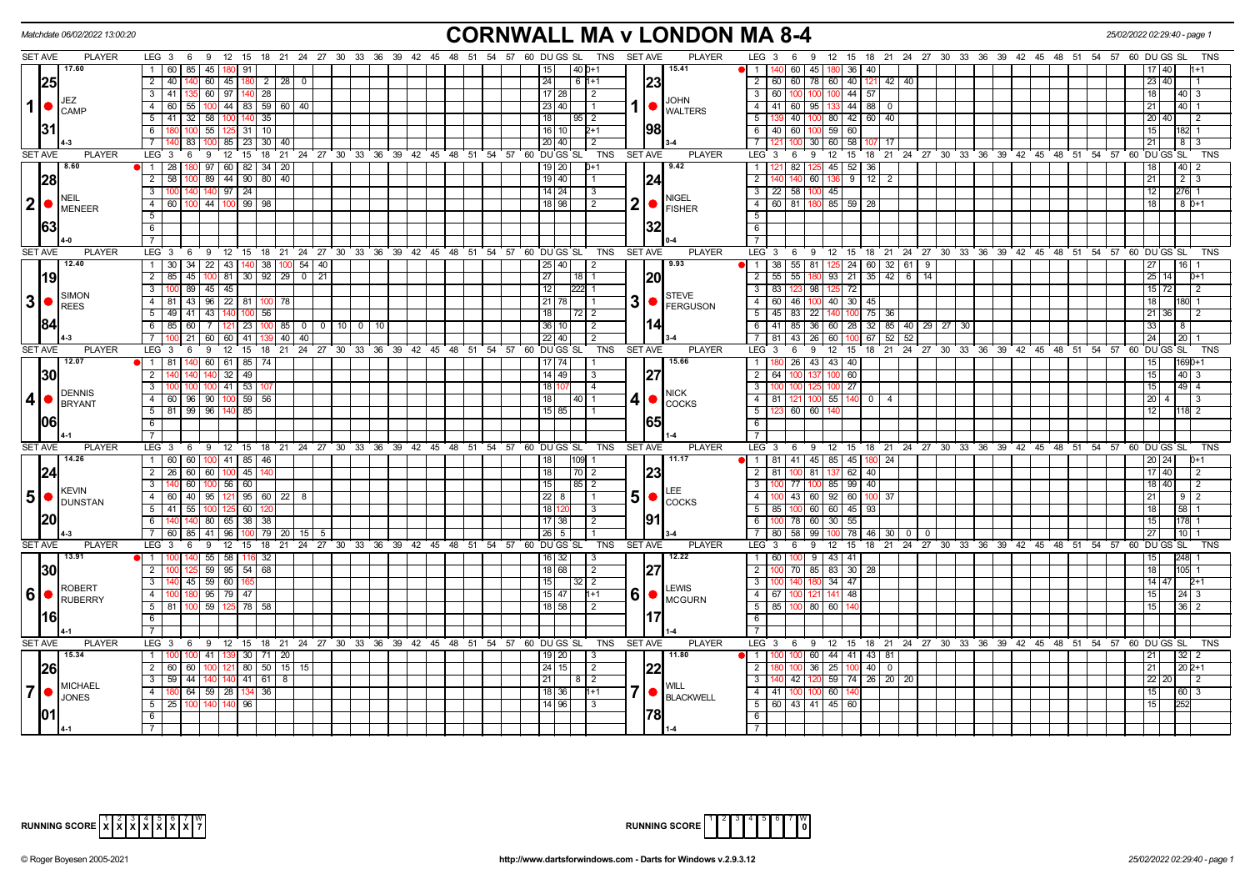| <b>CORNWALL MA v LONDON MA 8-4</b><br>Matchdate 06/02/2022 13:00:20<br>25/02/2022 02:29:40 - page<br>LEG 3 6 9 12 15 18 21 24 27 30 33 36 39 42 45 48 51 54 57 60 DUGS SL TNS SETAVE<br><b>PLAYER</b><br>LEG 3 6 9 12 15 18 21 24 27 30 33 36 39 42 45 48 51 54 57 60 DUGS SL<br><b>PLAYER</b><br>TNS |                                                                                            |                                                                                                |                                                                                               |                                              |  |  |  |  |  |  |  |  |  |
|-------------------------------------------------------------------------------------------------------------------------------------------------------------------------------------------------------------------------------------------------------------------------------------------------------|--------------------------------------------------------------------------------------------|------------------------------------------------------------------------------------------------|-----------------------------------------------------------------------------------------------|----------------------------------------------|--|--|--|--|--|--|--|--|--|
| <b>SET AVE</b>                                                                                                                                                                                                                                                                                        |                                                                                            |                                                                                                |                                                                                               |                                              |  |  |  |  |  |  |  |  |  |
| 17.60                                                                                                                                                                                                                                                                                                 | 1 60 1<br>85   45   180   91                                                               | 140 0+1<br>15.41<br>11 I<br>15 I                                                               | 60 45 180 36 40                                                                               | 17140                                        |  |  |  |  |  |  |  |  |  |
| 25                                                                                                                                                                                                                                                                                                    | 2 40 140 60 45 180 2 28 0                                                                  | 24<br>$161+1$<br> 23                                                                           | 2 60 60 78 60 40 121 42 40                                                                    | 23 40                                        |  |  |  |  |  |  |  |  |  |
|                                                                                                                                                                                                                                                                                                       | $3 \mid 41 \mid$<br>135 60 97 140 28                                                       | $17$   28  <br>l 2                                                                             | 3 60 100 100 100 44 57                                                                        | 18<br>$40 \mid 3$                            |  |  |  |  |  |  |  |  |  |
| JEZ<br>$\mathbf{1}$<br><b>CAMP</b>                                                                                                                                                                                                                                                                    | $\overline{55}$ 100 44 83 59 60 40<br>4 60                                                 | <b>JOHN</b><br>1   WALTERS<br>23   40  <br>$\vert$ 1                                           | 4 4 41 60 95 133 44 88 0                                                                      | 21<br>40                                     |  |  |  |  |  |  |  |  |  |
|                                                                                                                                                                                                                                                                                                       | $5$   41   32   58   100   140   35                                                        | 18<br> 95 2                                                                                    | 5   139   40   100   80   42   60   40                                                        | 20 40<br>$\overline{2}$                      |  |  |  |  |  |  |  |  |  |
| 131                                                                                                                                                                                                                                                                                                   | 6 180 100 55 125 31 10                                                                     | 198<br>16   10  <br>$2+1$                                                                      | 6 40 60 100 59 60                                                                             | 15<br>182 1                                  |  |  |  |  |  |  |  |  |  |
|                                                                                                                                                                                                                                                                                                       | 85 23 30 40<br>711<br>83 100                                                               | $\overline{20}$   40  <br>$\overline{2}$                                                       | 7 <sup>1</sup><br>30 60 58 107 17<br>100                                                      | 21<br>8 3                                    |  |  |  |  |  |  |  |  |  |
| <b>SET AVE</b><br><b>PLAYER</b>                                                                                                                                                                                                                                                                       | 6 9 12 15 18 21 24 27 30 33 36 39 42 45 48 51 54 57 60 DUGS SL<br>LEG 3                    | <b>TNS</b><br><b>SET AVE</b><br><b>PLAYER</b>                                                  | $LEG_3$ 6<br>9 12 15 18 21 24 27 30 33 36 39 42 45 48 51 54 57 60 DUGS SL                     | <b>TNS</b>                                   |  |  |  |  |  |  |  |  |  |
| 8.60                                                                                                                                                                                                                                                                                                  | $1 \quad 28$<br>180 97 60 82 34 20                                                         | 9.42<br>19   20  <br>$D+1$                                                                     | 82 125 45 52 36<br>1   121                                                                    | 18<br> 40 <br>$\mathcal{P}$                  |  |  |  |  |  |  |  |  |  |
| 28                                                                                                                                                                                                                                                                                                    | 89 44 90 80 40<br>$2 \mid 58$<br>100                                                       | 19   40 <br> 24<br>$\vert$ 1                                                                   | $2$ T<br>60 136 9 12 2<br>140                                                                 | 21<br>$2 \mid 3$                             |  |  |  |  |  |  |  |  |  |
|                                                                                                                                                                                                                                                                                                       | 3 100 140 140 97 24                                                                        | $14$   24  <br>l 3                                                                             | $3 \mid 22 \mid 58 \mid 100 \mid 45 \mid$                                                     | 12<br>276 1                                  |  |  |  |  |  |  |  |  |  |
| <b>NEIL</b><br>$2$ $\bullet$ $\stackrel{\text{NEIL}}{\text{MENER}}$                                                                                                                                                                                                                                   | 4 60 100 44 100 99 98                                                                      | <b>NIGEL</b><br>$2  \bullet  $<br>$\sqrt{2}$<br>18   98  <br><b>FISHER</b>                     | 4 60 81 180 85 59 28                                                                          | 18 I<br>$80+1$                               |  |  |  |  |  |  |  |  |  |
|                                                                                                                                                                                                                                                                                                       | 5 <sup>5</sup>                                                                             |                                                                                                | 51                                                                                            |                                              |  |  |  |  |  |  |  |  |  |
| 1631                                                                                                                                                                                                                                                                                                  | 6                                                                                          | 132                                                                                            | 6                                                                                             |                                              |  |  |  |  |  |  |  |  |  |
|                                                                                                                                                                                                                                                                                                       | $\overline{7}$                                                                             |                                                                                                | 7 <sup>1</sup>                                                                                |                                              |  |  |  |  |  |  |  |  |  |
| <b>SET AVE</b><br><b>PLAYER</b>                                                                                                                                                                                                                                                                       | $LEG \ 3$<br>9 12 15 18 21 24 27 30 33 36 39 42 45 48 51 54 57 60 DUGS SL<br>6             | TNS<br><b>SET AVE</b><br><b>PLAYER</b>                                                         | $LEG \ 3$<br>6 9 12 15 18 21 24 27 30 33 36 39 42 45 48 51 54 57 60 DUGSSL                    | <b>TNS</b>                                   |  |  |  |  |  |  |  |  |  |
| 12.40                                                                                                                                                                                                                                                                                                 | 1 30 34 22 43 140 38 100 54 40                                                             | 9.93<br>$25$ 40<br>$\vert$ 2                                                                   | 1   38   55   81   125   24   60   32   61   9                                                | 27<br>16                                     |  |  |  |  |  |  |  |  |  |
| 19                                                                                                                                                                                                                                                                                                    | 2   85   45   100   81   30   92   29   0   21                                             | 27<br>120<br> 18 1                                                                             |                                                                                               | $25 \mid 14 \mid$<br>$D+1$                   |  |  |  |  |  |  |  |  |  |
|                                                                                                                                                                                                                                                                                                       | $3 \mid 100 \mid 89 \mid 45 \mid 45$                                                       | $\overline{12}$<br>$222$ 1                                                                     | 3 83 123 98 125 72                                                                            | $15 \overline{\smash{72}}$<br>$\overline{2}$ |  |  |  |  |  |  |  |  |  |
| <b>SIMON</b><br>3  <sub>o</sub>                                                                                                                                                                                                                                                                       | 4 81 43 96 22 81<br>10 <sup>c</sup><br>78                                                  | <b>STEVE</b><br>$3$ $\bullet$ $\overline{P}_{FERGUSON}$<br>$21$   78                           | 4 60 46 100 40 30 45                                                                          | 18                                           |  |  |  |  |  |  |  |  |  |
| REES                                                                                                                                                                                                                                                                                                  | $5 \mid 49 \mid 41 \mid 43 \mid$<br>140 100 56                                             | 18<br>$\begin{bmatrix} 72 \\ 2 \end{bmatrix}$                                                  | $5 \mid 45 \mid 83 \mid 22 \mid$<br>140 100 75 36                                             | 21 36<br>2                                   |  |  |  |  |  |  |  |  |  |
| 184                                                                                                                                                                                                                                                                                                   | $6$   85   60   7   121   23  <br>85 0 0 10 0 10<br>  100                                  | 14<br>36 10 <br>$\overline{2}$                                                                 | 6   41   85   36   60   28   32   85   40   29   27   30                                      | 33<br>-8                                     |  |  |  |  |  |  |  |  |  |
|                                                                                                                                                                                                                                                                                                       | 21   60   60   41<br>$40 \mid 40$<br>$7^{\circ}$                                           | $22$   40<br>$\sqrt{2}$                                                                        | $7 \mid 81$<br>  43   26  <br>  67   52  <br>52<br>60 100                                     | 24<br>1201                                   |  |  |  |  |  |  |  |  |  |
| <b>SET AVE</b><br><b>PLAYER</b>                                                                                                                                                                                                                                                                       | LEG <sub>3</sub><br>12 15 18 21 24 27 30 33 36 39 42 45 48 51 54 57 60 DUGS SL<br>6<br>- 9 | <b>PLAYER</b><br>TNS<br><b>SET AVE</b>                                                         | LEG <sub>3</sub><br>12 15 18 21 24 27 30 33 36 39 42 45 48 51 54 57 60 DUGS SL<br>9<br>- 6    | TNS                                          |  |  |  |  |  |  |  |  |  |
| 12.07                                                                                                                                                                                                                                                                                                 | 140 60 61 85 74<br>1181                                                                    | $17$   74<br>15.66                                                                             | 80 26 43 43 40<br>1 I                                                                         | 1690+1                                       |  |  |  |  |  |  |  |  |  |
| 30                                                                                                                                                                                                                                                                                                    | $32 \mid 49$<br>$2 \mid 14$<br>140                                                         | $14$   49  <br> 27<br>3                                                                        | $2 \mid 64$<br>100 60<br>100 137                                                              | 15<br>40 3                                   |  |  |  |  |  |  |  |  |  |
|                                                                                                                                                                                                                                                                                                       | $\overline{3}$<br>$100$ 41 53<br>100                                                       | 1811<br>$\sqrt{4}$                                                                             | $100$ 27<br>$3 \mid 100$<br>100                                                               | 15<br>$-49$ 4                                |  |  |  |  |  |  |  |  |  |
| <b>DENNIS</b><br> 4                                                                                                                                                                                                                                                                                   | 4 60 96 90 100 59 56                                                                       | <b>NICK</b><br>18<br>$4 • $ COCKS<br>140 I 1                                                   | 4   81   121   100   55   140   0   4                                                         | $20 \mid 4 \mid$<br>$\vert$ 3                |  |  |  |  |  |  |  |  |  |
| BRYANT                                                                                                                                                                                                                                                                                                | 5 81 99 96 140 85                                                                          | 15 85                                                                                          | $5 \mid 123 \mid 60 \mid 60 \mid$                                                             | 12<br>118 2                                  |  |  |  |  |  |  |  |  |  |
| 06                                                                                                                                                                                                                                                                                                    | 6                                                                                          | 165                                                                                            | 6                                                                                             |                                              |  |  |  |  |  |  |  |  |  |
|                                                                                                                                                                                                                                                                                                       | $\overline{7}$                                                                             |                                                                                                | $\overline{7}$                                                                                |                                              |  |  |  |  |  |  |  |  |  |
| SET AVE<br><b>PLAYER</b>                                                                                                                                                                                                                                                                              | LEG <sub>3</sub><br>12 15 18 21 24 27 30 33 36 39 42 45 48 51 54 57 60 DUGS SL<br>6<br>9   | <b>TNS</b><br><b>SET AVE</b><br><b>PLAYER</b>                                                  | LEG <sub>3</sub><br>12 15 18 21 24 27 30 33 36 39 42 45 48 51 54 57 60 DUGS SL<br>6<br>9      | TNS                                          |  |  |  |  |  |  |  |  |  |
| 14.26                                                                                                                                                                                                                                                                                                 | 1 60 60 100 41 85 46                                                                       | 11.17<br>18<br>$109$ 1                                                                         | 1   81   41   45   85   45   180   24                                                         | 20 24<br>0+1                                 |  |  |  |  |  |  |  |  |  |
| 24                                                                                                                                                                                                                                                                                                    | $2 \mid 26 \mid 60 \mid 60 \mid 100 \mid 45$                                               | 23<br>18<br>$\sqrt{70}$ 2                                                                      | $2$   81  <br>100 81 137 62<br>40                                                             | 17 40<br>2                                   |  |  |  |  |  |  |  |  |  |
|                                                                                                                                                                                                                                                                                                       | $3 \overline{140}$<br>60 100 56 60                                                         | 15<br>85 2                                                                                     | 3   100   77   100   85   99   40                                                             | 18 40<br>-2                                  |  |  |  |  |  |  |  |  |  |
| <b>KEVIN</b><br>5 <sup>1</sup><br><b>O</b> DUNSTAN                                                                                                                                                                                                                                                    | 4 60 40 95 121 95 60 22 8                                                                  | $50$ $\frac{1}{20}$ $\frac{1}{20}$<br>22 8                                                     | 4   100   43   60   92   60  <br>100 37                                                       | 21<br>912                                    |  |  |  |  |  |  |  |  |  |
|                                                                                                                                                                                                                                                                                                       | 5 41 55<br>100 125 60                                                                      | 18 1<br>3                                                                                      | 5   85   100   60   60   45   93                                                              | 18 <sup>1</sup><br>58 <sup>1</sup>           |  |  |  |  |  |  |  |  |  |
| 20                                                                                                                                                                                                                                                                                                    | 80 65 38 38<br>6<br>140                                                                    | 91<br>$17 \mid 38$<br>2                                                                        | 78 60 30 55<br>$6 \mid$                                                                       | 15                                           |  |  |  |  |  |  |  |  |  |
|                                                                                                                                                                                                                                                                                                       | 7   60<br>85   41  <br>l 96 I<br>$100$ 79   20   15  <br>- 5                               | $26$   5                                                                                       | 00 78 46 30 0<br>80 l<br>  58<br>99 I<br>$\overline{\mathbf{0}}$                              | 27<br>10 I                                   |  |  |  |  |  |  |  |  |  |
| <b>SET AVE</b><br><b>PLAYER</b>                                                                                                                                                                                                                                                                       | LEG <sup>3</sup><br>9<br>$12 \quad 15$<br>6                                                | 18 21 24 27 30 33 36 39 42 45 48 51 54 57 60 DUGS SL<br>TNS<br><b>SET AVE</b><br><b>PLAYER</b> | 15 18 21 24 27 30 33 36 39 42 45 48 51 54 57 60 DUGS SL<br>LEG <sup>3</sup><br>່ 9<br>12<br>6 | <b>TNS</b>                                   |  |  |  |  |  |  |  |  |  |
| 13.91                                                                                                                                                                                                                                                                                                 | $55$ 58<br>$1 \ 100$<br>116 32                                                             | 12.22<br>$16 \mid 32 \mid$<br>l 3                                                              | $100$ 9 43 41<br>$1 \overline{60}$                                                            | 15<br>248                                    |  |  |  |  |  |  |  |  |  |
| 30                                                                                                                                                                                                                                                                                                    | $59$ 95 54 68<br>$2 \mid 100$                                                              | 27<br>18 68 <br>$\sqrt{2}$                                                                     | 70 85 83 30<br>2<br>-28                                                                       | 18<br>105 1                                  |  |  |  |  |  |  |  |  |  |
|                                                                                                                                                                                                                                                                                                       | $3 \mid 140 \mid 45 \mid 59 \mid 60 \mid 16$                                               | 15<br>13212                                                                                    | 3   100<br>$0 \ 34 \ 47$<br>140 180                                                           | 14 47<br>$D+1$                               |  |  |  |  |  |  |  |  |  |
| <b>ROBERT</b><br>$\vert 6 \vert$ $\vert$ ruberry                                                                                                                                                                                                                                                      | $\overline{4}$<br>$95$ 79 47<br>180                                                        | LEWIS<br>$60$ $\bullet$ $\mu$ $\sim$<br>$15$   47<br>1+1                                       | $4 \mid 67$<br>141 48<br>100                                                                  | 15<br>24 <sup>1</sup><br>3                   |  |  |  |  |  |  |  |  |  |
|                                                                                                                                                                                                                                                                                                       | 59<br>$5 \mid 81$<br>78 58                                                                 | 18 58<br>2                                                                                     | $5 \mid 85$<br>100 80 60                                                                      | 15<br>36 <sup>2</sup>                        |  |  |  |  |  |  |  |  |  |
| l16l                                                                                                                                                                                                                                                                                                  | 6                                                                                          | 117                                                                                            | 6 <sup>1</sup>                                                                                |                                              |  |  |  |  |  |  |  |  |  |
|                                                                                                                                                                                                                                                                                                       | $\overline{7}$                                                                             |                                                                                                | $\overline{7}$                                                                                |                                              |  |  |  |  |  |  |  |  |  |
| <b>SET AVE</b><br><b>PLAYER</b>                                                                                                                                                                                                                                                                       | LEG 3 6 9 12 15 18 21 24 27 30 33 36 39 42 45 48 51 54 57 60 DUGS SL                       | <b>PLAYER</b><br>TNS<br><b>SET AVE</b>                                                         | LEG 3 6 9 12 15 18 21 24 27 30 33 36 39 42 45 48 51 54 57 60 DUGS SL                          | <b>TNS</b>                                   |  |  |  |  |  |  |  |  |  |
| 15.34                                                                                                                                                                                                                                                                                                 | 1   1<br>41  <br>30   71   20                                                              | 11.80<br>19   20  <br>-3                                                                       | 0 60 44 41 43 81<br>  1                                                                       | 21<br>32 <sub>1</sub>                        |  |  |  |  |  |  |  |  |  |
| 26                                                                                                                                                                                                                                                                                                    | 80   50<br>$2 \ 60$<br>$15$ 15<br>60<br>100 121                                            | 24 15 <br>$\vert$ 2                                                                            | 36 25 100<br>$\overline{2}$<br>$40$ 0                                                         | 21<br>$202+1$                                |  |  |  |  |  |  |  |  |  |
| MICHAEL                                                                                                                                                                                                                                                                                               | 140 140 41 61<br>$3 \mid 59 \mid$<br>44<br>8                                               | 211<br>812<br><b>WILL</b>                                                                      | 42 120 59 74 26 20 20<br>3 I                                                                  | $22 \ 20$<br>$\overline{2}$                  |  |  |  |  |  |  |  |  |  |
| $\overline{7}$<br><b>JONES</b>                                                                                                                                                                                                                                                                        | 64 59 28 134 36<br>4 180                                                                   | 7     BLACKWELL<br>$18$ 36<br>$1+1$                                                            | 4 41 100 100 60                                                                               | 15<br>60 3                                   |  |  |  |  |  |  |  |  |  |
|                                                                                                                                                                                                                                                                                                       | $5 \ 25 \ 100$<br>140 140 96                                                               | $14$   96  <br>$\sqrt{3}$                                                                      | 5   60   43   41   45   60                                                                    | 15<br>252                                    |  |  |  |  |  |  |  |  |  |
| 101 I                                                                                                                                                                                                                                                                                                 | 6                                                                                          | <b>178</b>                                                                                     | - 6 I                                                                                         |                                              |  |  |  |  |  |  |  |  |  |
|                                                                                                                                                                                                                                                                                                       |                                                                                            |                                                                                                | 7 <sup>1</sup>                                                                                |                                              |  |  |  |  |  |  |  |  |  |

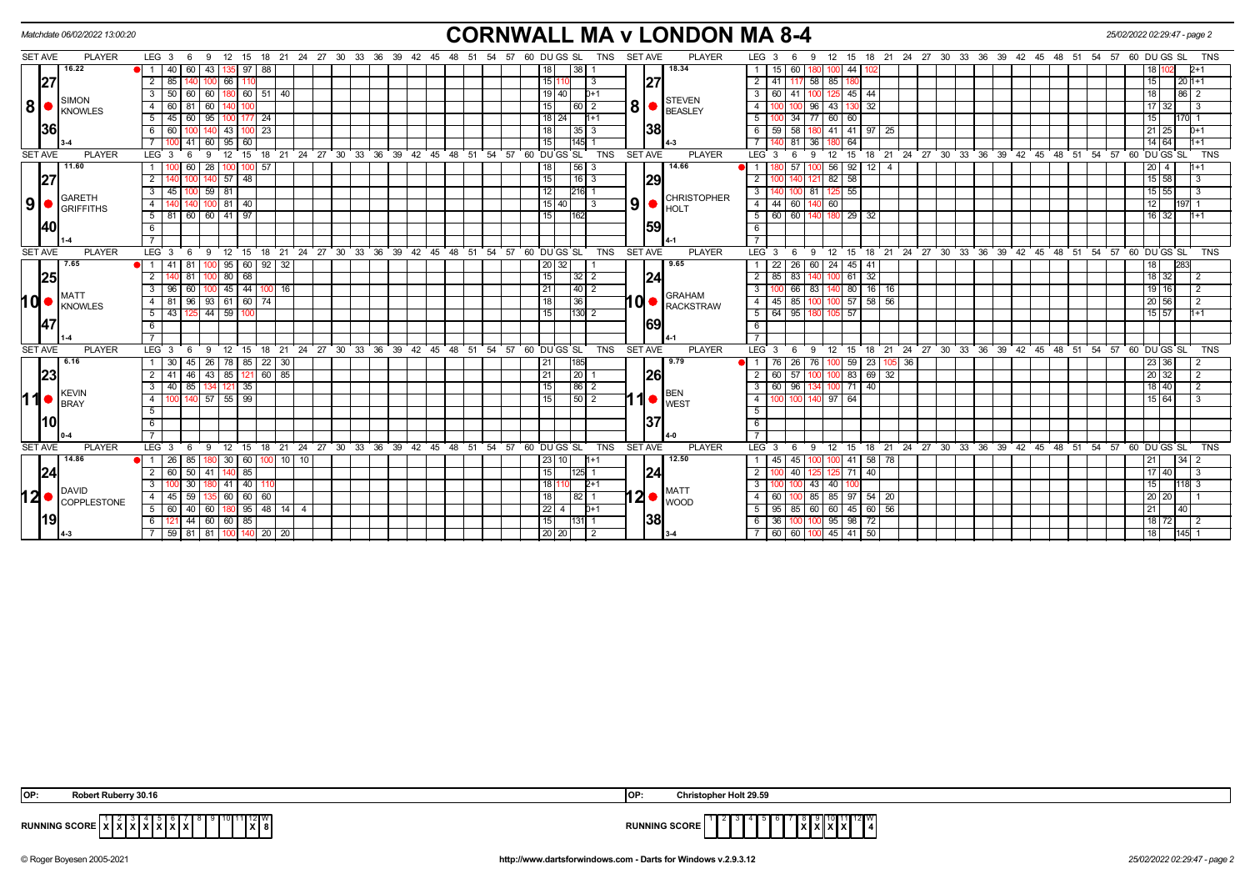|                | <b>CORNWALL MA v LONDON MA 8-4</b><br>Matchdate 06/02/2022 13:00:20<br>25/02/2022 02:29:47 - page 2<br>SET AVE<br>$LEG_36$<br>12 15 18 21 24 27 30 33 36 39 42 45 48 51 54 57 60 DUGS SL<br><b>TNS</b><br><b>SET AVE</b><br>LEG <sub>3</sub><br>12 15 18 21 24 27 30 33 36 39 42 45 48 51 54 57 60 DUGS SL<br><b>TNS</b><br>- 9<br>6<br>-9 |                                                                                  |  |                                        |         |                          |                  |              |                              |     |         |                                                            |  |  |  |  |                        |  |  |                 |                      |                   |                |                |                |                              |                          |                           |                      |                 |                               |                   |             |                 |                |  |  |                                     |  |                                                         |                   |                |                     |                 |                         |            |
|----------------|--------------------------------------------------------------------------------------------------------------------------------------------------------------------------------------------------------------------------------------------------------------------------------------------------------------------------------------------|----------------------------------------------------------------------------------|--|----------------------------------------|---------|--------------------------|------------------|--------------|------------------------------|-----|---------|------------------------------------------------------------|--|--|--|--|------------------------|--|--|-----------------|----------------------|-------------------|----------------|----------------|----------------|------------------------------|--------------------------|---------------------------|----------------------|-----------------|-------------------------------|-------------------|-------------|-----------------|----------------|--|--|-------------------------------------|--|---------------------------------------------------------|-------------------|----------------|---------------------|-----------------|-------------------------|------------|
|                |                                                                                                                                                                                                                                                                                                                                            | <b>PLAYER</b>                                                                    |  |                                        |         |                          |                  |              |                              |     |         |                                                            |  |  |  |  |                        |  |  |                 |                      |                   |                |                |                |                              | <b>PLAYER</b>            |                           |                      |                 |                               |                   |             |                 |                |  |  |                                     |  |                                                         |                   |                |                     |                 |                         |            |
|                |                                                                                                                                                                                                                                                                                                                                            | 16.22                                                                            |  | 40                                     |         | 60 43                    |                  |              | 88<br>97 I                   |     |         |                                                            |  |  |  |  |                        |  |  |                 |                      | 38                |                |                |                | 18.34                        |                          |                           | 15 <sup>1</sup>      | 60              |                               |                   | 44          |                 |                |  |  |                                     |  |                                                         |                   |                |                     |                 |                         |            |
|                | 27                                                                                                                                                                                                                                                                                                                                         |                                                                                  |  | 2<br>85                                |         |                          |                  | 66 I         |                              |     |         |                                                            |  |  |  |  |                        |  |  |                 | 1511                 |                   | -3             |                | 27             |                              |                          | $\overline{2}$            | 41                   |                 | 58                            | 85                |             |                 |                |  |  |                                     |  |                                                         |                   |                |                     |                 | $201+1$                 |            |
|                |                                                                                                                                                                                                                                                                                                                                            |                                                                                  |  | 50<br>$\mathbf{3}$                     |         | $\overline{60}$<br>-60 I |                  |              | 180 60 51 40                 |     |         |                                                            |  |  |  |  |                        |  |  |                 | 19 40                |                   | $D+1$          |                |                |                              |                          | $\overline{\phantom{a}3}$ |                      | 60   41         |                               |                   | $125$ 45 44 |                 |                |  |  |                                     |  |                                                         |                   |                |                     | 86              |                         |            |
|                |                                                                                                                                                                                                                                                                                                                                            | SIMON<br>$\vert 8 \vert$ $\bullet$ $\vert_{\text{\tiny KNOWLES}}$                |  | 4<br>60                                |         | 60                       |                  |              |                              |     |         |                                                            |  |  |  |  |                        |  |  | 15              |                      | 60                | $\sqrt{2}$     | 8 <sup>1</sup> |                |                              | <b>STEVEN</b><br>BEASLEY | $\overline{4}$            |                      |                 | 96                            | 43 130            |             | 32              |                |  |  |                                     |  |                                                         |                   |                |                     | 32              |                         |            |
|                |                                                                                                                                                                                                                                                                                                                                            |                                                                                  |  | 5 45 60 95                             |         |                          |                  |              | 100 177 24                   |     |         |                                                            |  |  |  |  |                        |  |  |                 | $\overline{18}$   24 |                   | $11+1$         |                |                |                              |                          | 5                         |                      |                 | 34   77   60   60             |                   |             |                 |                |  |  |                                     |  |                                                         |                   |                | 15                  |                 |                         |            |
|                | <b>36</b>                                                                                                                                                                                                                                                                                                                                  |                                                                                  |  | 60<br>6                                |         |                          |                  | 43 I         | $100$ 23                     |     |         |                                                            |  |  |  |  |                        |  |  | 18 I            |                      | 35                |                |                | 38             |                              |                          |                           | 59 <sup>1</sup>      | $\overline{58}$ |                               |                   | 41   41     | 97   25         |                |  |  |                                     |  |                                                         |                   |                |                     | 25              |                         |            |
|                |                                                                                                                                                                                                                                                                                                                                            |                                                                                  |  |                                        | 41      | 60                       |                  | 95 60        |                              |     |         |                                                            |  |  |  |  |                        |  |  | 15              |                      | 145               |                |                |                |                              |                          |                           |                      |                 | 36                            |                   | 64          |                 |                |  |  |                                     |  |                                                         |                   |                | 14 64               |                 |                         |            |
|                | <b>SET AVE</b>                                                                                                                                                                                                                                                                                                                             | <b>PLAYER</b>                                                                    |  | LEG <sub>3</sub>                       |         | -9                       |                  | 12           | 15<br>18                     |     |         | 21 24 27 30 33 36 39                                       |  |  |  |  | $42 \quad 45 \quad 48$ |  |  |                 | 51 54 57 60 DUGS SL  |                   | <b>TNS</b>     |                | <b>SET AVE</b> |                              | <b>PLAYER</b>            |                           | LEG <sub>3</sub>     | -6              | -9                            | 12                | 15          | 18              |                |  |  | $21$ 24 27 30 33 36 39 42 45 48 51  |  |                                                         | 54 57 60 DU GS SL |                |                     |                 |                         | <b>TNS</b> |
|                |                                                                                                                                                                                                                                                                                                                                            | 11.60                                                                            |  | - 1 - I                                | 60      | 28                       |                  |              | $100$ 57                     |     |         |                                                            |  |  |  |  |                        |  |  | 18              |                      | 56 3              |                |                |                | 14.66                        |                          |                           |                      |                 |                               | 56                | 92          | 12              | $\overline{4}$ |  |  |                                     |  |                                                         |                   |                | $20 \mid 4$         |                 |                         |            |
|                | 27                                                                                                                                                                                                                                                                                                                                         |                                                                                  |  | $\overline{2}$                         |         |                          |                  | $57$ 48      |                              |     |         |                                                            |  |  |  |  |                        |  |  | 15 <sup>1</sup> |                      | $16$ 3            |                |                | 29             |                              |                          | $\overline{2}$            |                      |                 |                               | 82 58             |             |                 |                |  |  |                                     |  |                                                         |                   |                | $15 \ 58$           |                 | 3                       |            |
|                |                                                                                                                                                                                                                                                                                                                                            |                                                                                  |  | $\mathbf{3}$<br>45                     |         | 59                       | 81               |              |                              |     |         |                                                            |  |  |  |  |                        |  |  | 12              |                      | 216               |                |                |                |                              |                          | 3                         |                      |                 | 81                            |                   | 55          |                 |                |  |  |                                     |  |                                                         |                   |                | 55                  |                 | $\mathcal{R}$           |            |
| 9 <sup>1</sup> | $\bullet$                                                                                                                                                                                                                                                                                                                                  | GARETH<br><b>GRIFFITHS</b>                                                       |  | $\overline{4}$                         |         |                          | $100$ 81 40      |              |                              |     |         |                                                            |  |  |  |  |                        |  |  |                 | 15 40 1              |                   | $\overline{3}$ | 9 <sup>1</sup> |                | <b>HOLT</b>                  | <b>CHRISTOPHER</b>       |                           | $4 \mid 44 \mid$     |                 | 60 140                        | 60                |             |                 |                |  |  |                                     |  |                                                         |                   |                | 12                  | 197             |                         |            |
|                |                                                                                                                                                                                                                                                                                                                                            |                                                                                  |  | $5 \mid 81$                            |         |                          | 60 60 41 97      |              |                              |     |         |                                                            |  |  |  |  |                        |  |  | 15              |                      |                   |                |                |                |                              |                          | 5 <sup>5</sup>            |                      | 60 60           |                               |                   | 180 29      | 32              |                |  |  |                                     |  |                                                         |                   |                | 32                  |                 | 1+1                     |            |
|                | 40                                                                                                                                                                                                                                                                                                                                         |                                                                                  |  | 6                                      |         |                          |                  |              |                              |     |         |                                                            |  |  |  |  |                        |  |  |                 |                      |                   |                |                | 159            |                              |                          | 6                         |                      |                 |                               |                   |             |                 |                |  |  |                                     |  |                                                         |                   |                |                     |                 |                         |            |
|                |                                                                                                                                                                                                                                                                                                                                            |                                                                                  |  |                                        |         |                          |                  |              |                              |     |         |                                                            |  |  |  |  |                        |  |  |                 |                      |                   |                |                |                |                              |                          |                           |                      |                 |                               |                   |             |                 |                |  |  |                                     |  |                                                         |                   |                |                     |                 |                         |            |
|                | <b>SET AVE</b>                                                                                                                                                                                                                                                                                                                             | <b>PLAYER</b>                                                                    |  | LEG <sub>3</sub>                       |         | -9                       |                  | 12 15        |                              | 18  |         | 21 24 27 30 33 36 39 42 45 48 51 54 57 60 DUGS SL          |  |  |  |  |                        |  |  |                 |                      |                   | <b>TNS</b>     |                | <b>SET AVE</b> |                              | <b>PLAYER</b>            |                           | LEG 3                |                 | -9                            | $12 \overline{ }$ | 15          |                 |                |  |  |                                     |  | 18 21 24 27 30 33 36 39 42 45 48 51 54 57 60 DUGS SL    |                   |                |                     |                 |                         | <b>TNS</b> |
|                |                                                                                                                                                                                                                                                                                                                                            | 7.65                                                                             |  |                                        | 81      |                          |                  |              | $95 \mid 60 \mid 92 \mid 32$ |     |         |                                                            |  |  |  |  |                        |  |  |                 | 20 32 1              |                   |                |                |                | 9.65                         |                          |                           | 22                   | 26 <sub>1</sub> | 60                            |                   | $24$ 45 41  |                 |                |  |  |                                     |  |                                                         |                   |                | 18                  | 283             |                         |            |
|                | 25                                                                                                                                                                                                                                                                                                                                         |                                                                                  |  | $\overline{2}$                         | 81      |                          |                  | $80$ 68      |                              |     |         |                                                            |  |  |  |  |                        |  |  | 15              |                      | $32$   2          |                |                | 124            |                              |                          | $\overline{2}$            | 85                   | 83              |                               | 100 61            |             | 32              |                |  |  |                                     |  |                                                         |                   |                | $18$ 32             |                 | 2                       |            |
|                |                                                                                                                                                                                                                                                                                                                                            | <b>MATT</b>                                                                      |  | -3 I                                   | 96 60 1 |                          | 1001             |              | 45 44 100 16                 |     |         |                                                            |  |  |  |  |                        |  |  | 211             |                      | 40 2              |                |                |                |                              | <b>GRAHAM</b>            | $\overline{3}$            |                      | 66              |                               |                   |             | 83 140 80 16 16 |                |  |  |                                     |  |                                                         |                   |                | 19   16             |                 |                         |            |
| $10 -$         |                                                                                                                                                                                                                                                                                                                                            | <b>KNOWLES</b>                                                                   |  | $4$ 81                                 |         |                          |                  |              | 96 93 61 60 74               |     |         |                                                            |  |  |  |  |                        |  |  | 18              |                      | 36                |                |                | <b>a</b>       |                              | <b>RACKSTRAW</b>         | $-4$                      | 45                   | 85              | 100                           |                   | $100$ 57    | 58 56           |                |  |  |                                     |  |                                                         |                   |                | 20 56               |                 |                         |            |
|                |                                                                                                                                                                                                                                                                                                                                            |                                                                                  |  | $5$ 43 125 44 59 100                   |         |                          |                  |              |                              |     |         |                                                            |  |  |  |  |                        |  |  | 15 <sub>1</sub> |                      | $130\overline{2}$ |                |                |                |                              |                          |                           | 5   64   95   180    |                 |                               | 105 57            |             |                 |                |  |  |                                     |  |                                                         |                   |                | $15 \overline{)57}$ |                 | $+1$                    |            |
|                | <b>47</b>                                                                                                                                                                                                                                                                                                                                  |                                                                                  |  | 6                                      |         |                          |                  |              |                              |     |         |                                                            |  |  |  |  |                        |  |  |                 |                      |                   |                |                | 69             |                              |                          | 6                         |                      |                 |                               |                   |             |                 |                |  |  |                                     |  |                                                         |                   |                |                     |                 |                         |            |
|                |                                                                                                                                                                                                                                                                                                                                            |                                                                                  |  |                                        |         |                          |                  |              |                              |     |         |                                                            |  |  |  |  |                        |  |  |                 |                      |                   |                |                |                |                              |                          |                           |                      |                 |                               |                   |             |                 |                |  |  |                                     |  |                                                         |                   |                |                     |                 |                         |            |
|                | <b>SET AVE</b>                                                                                                                                                                                                                                                                                                                             | <b>PLAYER</b>                                                                    |  | LEG <sub>3</sub>                       | - 6     | - 9                      |                  | 12           | 15                           |     |         | 18 21 24 27 30 33 36 39                                    |  |  |  |  | $42 \t 45 \t 48$       |  |  |                 | 51 54 57 60 DU GS SL |                   | <b>TNS</b>     |                | <b>SET AVE</b> |                              | <b>PLAYER</b>            |                           | $LEG_3$              | -6              | 9                             | 12                | 15          |                 |                |  |  | 18 21 24 27 30 33 36 39 42 45 48 51 |  |                                                         | 54                | 57 60 DU GS SL |                     |                 |                         | <b>TNS</b> |
|                |                                                                                                                                                                                                                                                                                                                                            | 6.16                                                                             |  | 1 30                                   |         | 45   26                  |                  |              | 78   85   22   30            |     |         |                                                            |  |  |  |  |                        |  |  |                 |                      | 185               |                |                |                | 9.79                         |                          |                           |                      |                 | 76   26   76                  |                   | 100 59 1    | 23              | 105   36       |  |  |                                     |  |                                                         |                   |                | 23 36               |                 |                         |            |
|                | 23                                                                                                                                                                                                                                                                                                                                         |                                                                                  |  | $2 \mid 41$                            |         |                          |                  |              | 46   43   85   121   60   85 |     |         |                                                            |  |  |  |  |                        |  |  | 21              |                      | 20                |                |                | I26l           |                              |                          | 2                         |                      | 60 57           |                               |                   |             | 100 83 69 32    |                |  |  |                                     |  |                                                         |                   |                | 20 32               |                 | $\overline{2}$          |            |
|                |                                                                                                                                                                                                                                                                                                                                            | KEVIN                                                                            |  | 3 <sup>1</sup>                         |         |                          | 40 85 134 121 35 |              |                              |     |         |                                                            |  |  |  |  |                        |  |  | l 15 l          |                      | 86 2              |                |                |                | <b>BEN</b>                   |                          | $\overline{\mathbf{3}}$   |                      |                 | 60   96   134   100   71   40 |                   |             |                 |                |  |  |                                     |  |                                                         |                   |                | 18 40               |                 | $\overline{2}$          |            |
|                |                                                                                                                                                                                                                                                                                                                                            | $11 \bullet \qquad \qquad \text{BRAY}$                                           |  | $\overline{4}$                         |         |                          | 140 57 55 99     |              |                              |     |         |                                                            |  |  |  |  |                        |  |  | 15              |                      | 50 2              |                |                |                | <b>WEST</b>                  |                          | $\overline{4}$            |                      | 100             | 140 97 64                     |                   |             |                 |                |  |  |                                     |  |                                                         |                   |                | 15 64               |                 | $\mathcal{R}$           |            |
|                |                                                                                                                                                                                                                                                                                                                                            |                                                                                  |  | 5                                      |         |                          |                  |              |                              |     |         |                                                            |  |  |  |  |                        |  |  |                 |                      |                   |                |                |                |                              |                          | 5                         |                      |                 |                               |                   |             |                 |                |  |  |                                     |  |                                                         |                   |                |                     |                 |                         |            |
|                | 110I                                                                                                                                                                                                                                                                                                                                       |                                                                                  |  | 6                                      |         |                          |                  |              |                              |     |         |                                                            |  |  |  |  |                        |  |  |                 |                      |                   |                |                | 137            |                              |                          | 6                         |                      |                 |                               |                   |             |                 |                |  |  |                                     |  |                                                         |                   |                |                     |                 |                         |            |
|                |                                                                                                                                                                                                                                                                                                                                            |                                                                                  |  | $\overline{7}$                         |         |                          |                  |              |                              |     |         |                                                            |  |  |  |  |                        |  |  |                 |                      |                   |                |                |                |                              |                          | $\overline{7}$            |                      |                 |                               |                   |             |                 |                |  |  |                                     |  |                                                         |                   |                |                     |                 |                         |            |
|                | <b>SET AVE</b>                                                                                                                                                                                                                                                                                                                             | <b>PLAYER</b>                                                                    |  | LEG <sub>3</sub>                       | - 6     | - 9                      |                  |              |                              |     |         | 12 15 18 21 24 27 30 33 36 39 42 45 48 51 54 57 60 DUGS SL |  |  |  |  |                        |  |  |                 |                      |                   | TNS            |                | SET AVE        |                              | <b>PLAYER</b>            |                           | LEG <sup>3</sup>     | -6              | - 9                           | 12                |             |                 |                |  |  |                                     |  | 15 18 21 24 27 30 33 36 39 42 45 48 51 54 57 60 DUGS SL |                   |                |                     |                 |                         | <b>TNS</b> |
|                |                                                                                                                                                                                                                                                                                                                                            | 14.86                                                                            |  | <b>1</b> 26                            | 85      |                          |                  | $30 \mid 60$ |                              | 100 | 10   10 |                                                            |  |  |  |  |                        |  |  |                 | 23   10              |                   |                |                |                | 12.50                        |                          |                           |                      | 45              |                               |                   | 41          | 58 78           |                |  |  |                                     |  |                                                         |                   |                |                     | 34 <sup>1</sup> |                         |            |
|                | 24                                                                                                                                                                                                                                                                                                                                         |                                                                                  |  | 2                                      |         |                          | 60 50 41 140 85  |              |                              |     |         |                                                            |  |  |  |  |                        |  |  | 15              |                      | 125  1            |                |                | 24             |                              |                          | 2 <sup>1</sup>            |                      | 40              | 125                           | 125 71            |             | 40              |                |  |  |                                     |  |                                                         |                   |                | 17 40               |                 | $\overline{\mathbf{3}}$ |            |
|                |                                                                                                                                                                                                                                                                                                                                            |                                                                                  |  | 3                                      | 30      |                          |                  | 41   40      |                              |     |         |                                                            |  |  |  |  |                        |  |  |                 | 18 1                 |                   | $2+1$          |                |                | <b>MATT</b>                  |                          | $\mathbf{3}$              |                      |                 | 43                            | 40 l              |             |                 |                |  |  |                                     |  |                                                         |                   |                | 15                  |                 | 18I 3                   |            |
|                |                                                                                                                                                                                                                                                                                                                                            | $\mathbf{12} \bullet \left  \underset{\text{COPPLESTONE}}{\text{DAVID}} \right $ |  | 4 45 59                                |         |                          |                  |              | 60   60   60                 |     |         |                                                            |  |  |  |  |                        |  |  | 18 <sup>1</sup> |                      | 82 1              |                |                |                | $12 \bullet  _{\text{WOOD}}$ |                          | 4 I                       | 60                   |                 | 85   85   97   54   20        |                   |             |                 |                |  |  |                                     |  |                                                         |                   |                | 20 20               |                 |                         |            |
|                |                                                                                                                                                                                                                                                                                                                                            |                                                                                  |  | 5 60 40 60                             |         |                          |                  |              | 180 95 48 14 4               |     |         |                                                            |  |  |  |  |                        |  |  |                 | 22   4               |                   | $D+1$          |                |                |                              |                          | -5 I                      | 95                   |                 | 85 60 60 45 60 56             |                   |             |                 |                |  |  |                                     |  |                                                         |                   |                | 21                  | 40              |                         |            |
|                | 19                                                                                                                                                                                                                                                                                                                                         |                                                                                  |  | 6                                      |         |                          | 44 60 60 85      |              |                              |     |         |                                                            |  |  |  |  |                        |  |  | 15              |                      | 131               |                |                | 38             |                              |                          | 6                         | 36                   |                 |                               | $95$ 98           |             | 72              |                |  |  |                                     |  |                                                         |                   |                | 18 72               |                 |                         |            |
|                |                                                                                                                                                                                                                                                                                                                                            |                                                                                  |  | 7   59   81   81   100   140   20   20 |         |                          |                  |              |                              |     |         |                                                            |  |  |  |  |                        |  |  |                 | 20 20                |                   | 2              |                |                |                              |                          |                           | 7 60 60 100 45 41 50 |                 |                               |                   |             |                 |                |  |  |                                     |  |                                                         |                   |                | 18                  | 145             |                         |            |

| OP:                                                 | OP:                                                      |
|-----------------------------------------------------|----------------------------------------------------------|
| rt Ruberry 30.16                                    | Christopher Holt 29.59                                   |
| RUNNING SCORE X X X X X X X X<br>.<br><b>IAI 01</b> | 1 1 Z N<br><b>RUNNING SCORE</b><br>, , , , ,<br>^'^<br>. |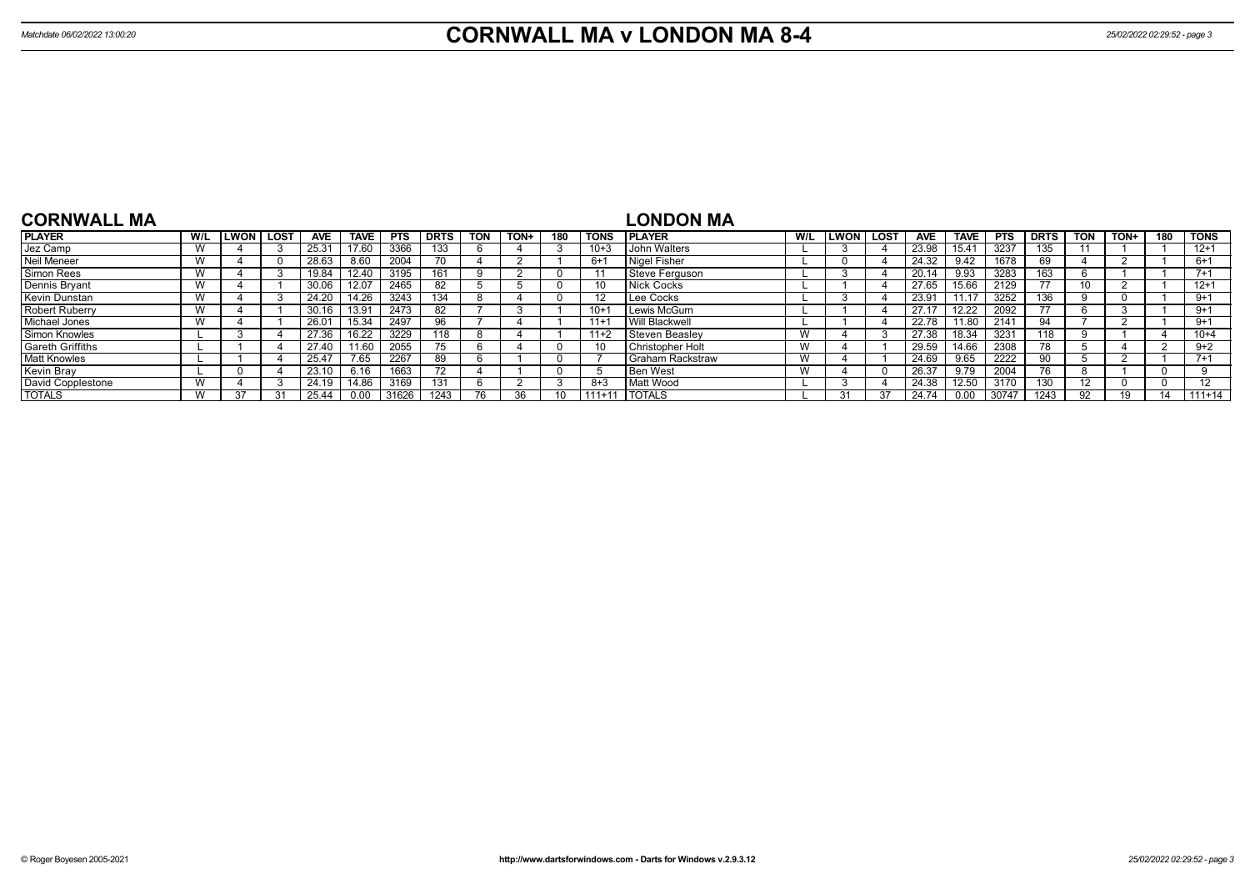| <b>CORNWALL MA</b>      |     |              |             |       |                   |            |             |            |      |     |             | <b>LONDON MA</b>      |     |             |             |            |             |            |             |            |      |     |                   |
|-------------------------|-----|--------------|-------------|-------|-------------------|------------|-------------|------------|------|-----|-------------|-----------------------|-----|-------------|-------------|------------|-------------|------------|-------------|------------|------|-----|-------------------|
| <b>PLAYER</b>           | W/L | <b>ILWON</b> | <b>LOST</b> | AVE   | <b>TAVE</b>       | <b>PTS</b> | <b>DRTS</b> | <b>TON</b> | TON+ | 180 | <b>TONS</b> | <b>IPLAYER</b>        | W/L | <b>LWON</b> | <b>LOST</b> | <b>AVE</b> | <b>TAVE</b> | <b>PTS</b> | <b>DRTS</b> | <b>TON</b> | TON+ | 180 | <b>TONS</b>       |
| Jez Camp                |     |              |             | 25.31 | 17.60             | 3366       | 133         |            |      |     | $10+3$      | John Walters          |     |             |             | 23.98      | 15.41       | 3237       | 135         |            |      |     | $12+1$            |
| Neil Meneer             |     |              |             | 28.63 | 8.60              | 2004       |             |            |      |     | $6+1$       | Nigel Fisher          |     |             |             | 24.32      | 9.42        | 1678       |             |            |      |     | $6+1$             |
| <b>Simon Rees</b>       |     |              |             | 19.84 | 12.40             | 3195       | 161         |            |      |     |             | Steve Ferguson        |     |             |             | 20.14      | 9.93        | 3283       | 63          |            |      |     | $7 + 1$           |
| Dennis Bryant           |     |              |             | 30.06 | 12.07             | 2465       | -82         |            |      |     |             | Nick Cocks            |     |             |             | 27.65      | 15.66       | 2129       | --          | 10         |      |     | $12+1$            |
| <b>Kevin Dunstan</b>    |     |              |             | 24.20 | 14.26             | 3243       | 134         |            |      |     |             | Lee Cocks             |     |             |             | 23.91      | 11.17       | 3252       | 136         |            |      |     | $9+1$             |
| <b>Robert Ruberry</b>   |     |              |             | 30.16 | 13.9 <sup>°</sup> | 2473       | 82          |            |      |     | $10 +$      | Lewis McGurn          |     |             |             | 27.17      | 12.22       | 2092       | 77          |            |      |     | $9+1$             |
| Michael Jones           |     |              |             | 26.01 | 15.34             | 2497       | 96          |            |      |     | $11 +$      | <b>Will Blackwell</b> |     |             |             | 22.78      | 11.80       | 2141       | 94          |            |      |     | $9+1$             |
| Simon Knowles           |     |              |             | 27.36 | 16.22             | 3229       | 118         |            |      |     | $11+2$      | l Steven Beaslev      | W   |             |             | 27.38      | 18.34       | 3231       | 118         |            |      |     | $10 + 4$          |
| <b>Gareth Griffiths</b> |     |              |             | 27.40 | 11.60             | 2055       | 75          |            |      |     |             | Christopher Holt      | W   |             |             | 29.59      | 14.66       | 2308       | 78          |            |      |     | $9+2$             |
| <b>Matt Knowles</b>     |     |              |             | 25.47 | 7.65              | 2267       | 89          |            |      |     |             | I Graham Rackstraw    | W   |             |             | 24.69      | 9.65        | 2222       |             |            |      |     | $7+1$             |
| Kevin Bray              |     |              |             | 23.10 | 6.16              | 1663       | 72          |            |      |     |             | l Ben West            | W   |             |             | 26.37      | 9.79        | 2004       | 76          |            |      |     |                   |
| David Copplestone       |     |              |             | 24.19 | 14.86             | 3169       | 131         |            |      |     | $8 + 3$     | Matt Wood             |     |             |             | 24.38      | 12.50       | 3170       | 130         | 12         |      |     | $12 \overline{ }$ |
| <b>TOTALS</b>           |     | 37           |             | 25.44 | 0.00              | 31626      | 1243        |            |      |     | $111+11$    | <b>TOTALS</b>         |     | 31          |             | 24.74      | 0.00        | 30747      | 1243        | 92         | 19   |     | $111+14$          |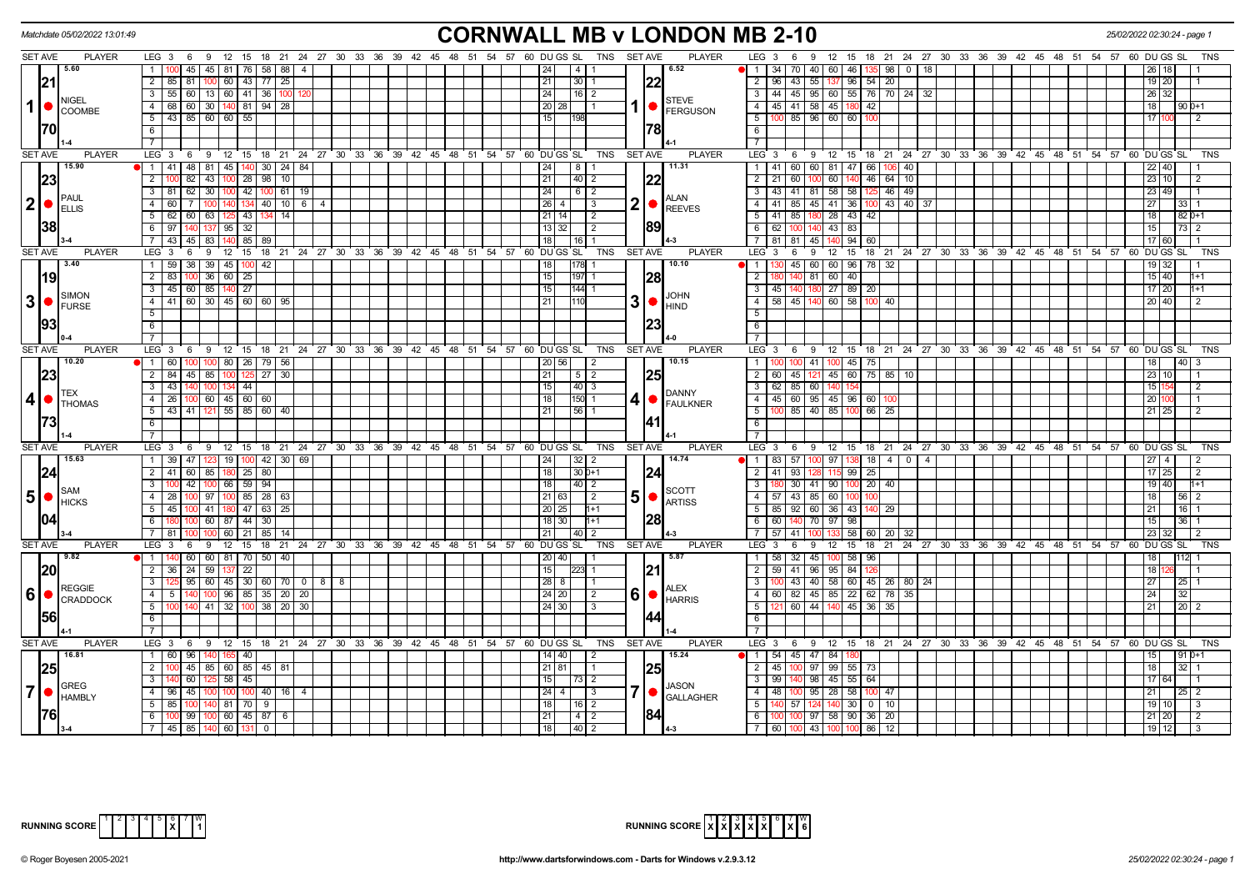|                | Matchdate 05/02/2022 13:01:49                        |                                                                                            | <b>CORNWALL MB v LONDON MB 2-10</b>                                                                   |                                                                                          | 25/02/2022 02:30:24 - page 1      |
|----------------|------------------------------------------------------|--------------------------------------------------------------------------------------------|-------------------------------------------------------------------------------------------------------|------------------------------------------------------------------------------------------|-----------------------------------|
|                | <b>SET AVE</b><br><b>PLAYER</b>                      | LEG 3 6 9 12 15 18 21 24 27 30 33 36 39 42 45 48 51 54 57 60 DUGS SL                       | TNS SET AVE<br><b>PLAYER</b>                                                                          | $LEG_3 6$<br>12 15 18 21 24 27 30 33 36 39 42 45 48 51 54 57 60 DUGS SL<br>9             |                                   |
|                | 15.60                                                | 45   45   81   76   58   88  <br>-4                                                        | 6.52<br> 24 <br> 4                                                                                    | 1   34   70   40   60   46   135   98   0   18                                           | 26 18                             |
|                | 21                                                   | 85   81   100   60   43   77   25<br>$\overline{2}$                                        | 22<br>21<br>30<br>$\overline{2}$                                                                      | $96 \mid 43 \mid 55 \mid 137 \mid 96 \mid 54 \mid 20$                                    | 19 20                             |
|                |                                                      | 55 60 13 60 41 36 100<br>$\overline{\mathbf{3}}$                                           | 24 <br> 16 2<br>$\overline{\mathbf{3}}$                                                               | 44   45   95   60   55   76   70   24   32                                               | 26 32                             |
|                | NIGEL<br>$1$ $\bullet$<br>COOMBE                     | $68$ 60 30 140 81 94 28<br>$\overline{4}$                                                  | <b>STEVE</b><br>$1  \bullet  $ FERGUSON<br>20 28<br>$\overline{4}$                                    | 45 41 58 45 180 42                                                                       | 18<br>$90D+1$                     |
|                |                                                      | 43 85 60 60 55<br>5                                                                        | 5<br> 15 <br>198                                                                                      | 100 85 96 60 60 100                                                                      | $1710$                            |
|                | 170I                                                 | 6                                                                                          | 1781<br>6                                                                                             |                                                                                          |                                   |
|                |                                                      | $\overline{7}$                                                                             | $\overline{7}$                                                                                        |                                                                                          |                                   |
|                | <b>SET AVE</b><br><b>PLAYER</b>                      | LEG <sup>3</sup><br>6 9 12 15 18 21 24 27 30 33 36 39 42 45 48 51 54 57 60 DUGS SL         | TNS<br><b>SET AVE</b><br><b>PLAYER</b>                                                                | LEG 3<br>6 9 12 15 18 21 24 27 30 33 36 39 42 45 48 51 54 57 60 DUGS SL                  | TNS                               |
|                | 15.90                                                | 1 41 48 81 45 140 30 24 84                                                                 | 11.31<br>8<br>$\overline{1}$<br> 24                                                                   | 41 60 60 81 47 66 106 40                                                                 | 22   40                           |
|                | 23                                                   | 43 100 28 98 10<br>$\overline{2}$<br>82                                                    | 21<br> 40 2<br>$\overline{2}$                                                                         | 140 46 64 10<br>601100<br>60<br>21                                                       | 23 10                             |
|                |                                                      | $62$ 30<br>$100$ 42 $100$ 61<br>3<br>-81 I<br>19                                           | 24 <br>3<br>612                                                                                       | 43 41 81 58 58 125 46 49                                                                 | 23 49                             |
| $ 2  \bullet$  | PAUL                                                 | 7   100   140   134   40   10   6  <br>$\overline{4}$<br>60 I<br>$\overline{4}$            | ALAN<br>$\mathbf{2}$<br>$26 \mid 4$<br>$\overline{4}$<br>3<br>$\bullet$<br><b>REEVES</b>              | 41   85   45   41   36   100   43   40   37                                              | 27 <sup>1</sup><br>33   1         |
|                | <b>IELLIS</b>                                        | 125 43 134 14<br>5<br>62 60 63                                                             | $5 \vert$<br>21   14<br>2                                                                             | 41 85 180<br>28 43 42                                                                    | 18 <sup>1</sup><br>$820+1$        |
|                | 38                                                   | $95 \mid 32$<br>6<br>97<br>137                                                             | 189<br>6<br>13 32                                                                                     | $43 \mid 83$<br>62                                                                       | 15<br>73 2                        |
|                |                                                      | $-43$<br>$45 \mid 83$<br>$140$ 85 89                                                       | 18 <br>$\overline{7}$<br>l 16 I 1                                                                     | 81 81 45 140 94 60                                                                       | 17 60                             |
|                | <b>SET AVE</b><br><b>PLAYER</b>                      | 9<br>$12^{\circ}$<br>15<br>LEG 3<br>6                                                      | 18 21 24 27 30 33 36 39 42 45 48 51 54 57 60 DUGS SL<br><b>TNS</b><br><b>SET AVE</b><br><b>PLAYER</b> | LEG 3<br>$12 \quad 15$<br>18 21 24 27 30 33 36 39 42 45 48 51 54 57 60 DUGS<br>6<br>9    | <b>TNS</b><br>SL                  |
|                | 13.40                                                | $38 \mid 39 \mid 45 \mid$<br>$100$ 42<br>$\overline{1}$<br>59                              | 10.10<br>18<br>178<br>$\overline{1}$                                                                  | 45 60 60 96 78 32                                                                        | $19$ 32                           |
|                | 19                                                   | $100$ 36 60 25<br>$\overline{2}$<br>83                                                     | 15 <br><b>28</b><br>197 1<br>$\overline{2}$                                                           | 40 81 60 40                                                                              | $15 \mid 40$                      |
|                |                                                      | $\overline{\mathbf{3}}$<br>45 60 85 140 27                                                 | 15<br>$\overline{\mathbf{3}}$<br>144                                                                  | 27 89 20<br>45 140 180                                                                   | $17$ 20                           |
|                | SIMON<br>$3 \cdot \frac{\text{SIMON}}{\text{FURSE}}$ | $\overline{4}$<br>41 60 30 45 60 60 95                                                     | <b>JOHN</b><br>$3  \bullet  _{\text{HIND}}^{\text{down}}$<br>$-4$<br>21                               | $58$   45   140<br>60 58<br>100<br>$\sqrt{40}$                                           | 20 40                             |
|                |                                                      | $5\overline{)}$                                                                            | 5                                                                                                     |                                                                                          |                                   |
|                | 93                                                   | 6                                                                                          | 23<br>$6\overline{6}$                                                                                 |                                                                                          |                                   |
|                |                                                      | $\overline{7}$                                                                             | $\overline{7}$                                                                                        |                                                                                          |                                   |
|                | <b>SET AVE</b><br><b>PLAYER</b>                      | LEG <sub>3</sub><br>6 9 12 15 18 21 24 27 30 33 36 39 42 45 48 51                          | <b>PLAYER</b><br>54 57 60 DU GS SL<br>TNS<br><b>SET AVE</b>                                           | LEG 3<br>12 15<br>18 21 24 27 30 33 36 39 42 45 48 51 54 57 60 DUGS SL<br>69             | <b>TNS</b>                        |
|                | 10.20                                                | 160<br>100 80 26 79 56<br>100                                                              | 10.15<br>$\overline{1}$<br>20   56                                                                    | 00141<br>45 75                                                                           |                                   |
|                | 23                                                   | $\overline{2}$<br>84 45 85 100<br>$27 \mid 30$<br>125                                      | $\overline{2}$<br><b>25</b><br>21<br>5 <sup>5</sup><br>2                                              | 45 60 75 85 10<br>$60$ 45 121                                                            | 23 10                             |
|                |                                                      | $43\overline{1}$<br>$\overline{\mathbf{3}}$<br>140<br>100 134 44                           | 15<br>$ 40 $ 3<br>$\overline{\mathbf{3}}$                                                             | $62$ 85 60                                                                               | 15                                |
|                | ITEX<br> 4                                           | 26 100 60 45 60 60<br>$-4$                                                                 | <b>DANNY</b><br>18<br>$\overline{4}$<br>150 1<br>4 FAULKNER                                           | 45 60 95 45 96 60 10                                                                     | 20                                |
|                | <b>I</b> THOMAS                                      | 43 41 121 55 85 60 40<br>$-5$                                                              | 21<br>$56$ 1<br>5                                                                                     | 100 85 40 85 100 66 25                                                                   | $21 \overline{25}$                |
|                | 1731                                                 | 6                                                                                          | 41<br>6                                                                                               |                                                                                          |                                   |
|                |                                                      | $\overline{7}$                                                                             | $\overline{7}$                                                                                        |                                                                                          |                                   |
|                | SET AVE<br><b>PLAYER</b>                             | LEG <sub>3</sub><br>6 9 12 15 18 21 24 27 30 33 36 39 42 45 48 51 54 57 60 DUGS SL         | <b>TNS</b><br><b>SET AVE</b><br><b>PLAYER</b>                                                         | LEG <sub>3</sub><br>6 9 12 15 18 21 24 27 30 33 36 39 42 45 48 51 54 57 60 DUGS SL       | TNS                               |
|                | 15.63                                                | 1 39 47 123 19 100 42 30 69                                                                | 14.74<br>24<br>$32$   2<br>$\vert$ 1                                                                  | 83   57   100   97   138   18   4   0  <br>$\overline{4}$                                | $27 \mid 4$                       |
|                | 24                                                   | $\overline{2}$<br>60   85<br>$180$ 25 80<br>41                                             | 18<br>$30 0+1$<br> 24 <br>$\overline{2}$                                                              | 41<br>93<br>$99$ 25<br>115                                                               | $\frac{17}{25}$<br>$\overline{2}$ |
|                |                                                      | 42   100   66   59   94<br>$\overline{\mathbf{3}}$                                         | 18<br> 40 2<br>$\overline{\mathbf{3}}$                                                                | $100$ 20 40<br>30   41   90                                                              | 19 40                             |
|                | <b>I</b> SAM<br>5  <sub>o</sub><br><b>HICKS</b>      | 28   100   97   100   85   28   63<br>$\overline{4}$                                       | <b>SCOTT</b><br>5  <sub>•</sub><br>21 63<br>$\vert$ 2<br><b>ARTISS</b>                                | 4   57   43   85   60                                                                    | 18<br>56 2                        |
|                |                                                      | 45   100   41   180   47   63   25<br>5                                                    | 20 25                                                                                                 | 5   85   92   60   36   43   140   29                                                    | 21<br>16 I                        |
|                |                                                      | 100 60 87 44<br>30                                                                         | 6<br>$18$ 30                                                                                          | 60<br>140 70 97<br>98                                                                    | 15<br>36 I                        |
|                |                                                      | 7 <sup>1</sup><br>  60   21   85   14  <br>81                                              | 21 <br>40 2<br>$\overline{7}$                                                                         | $58 \ 60 \ 20 \ 32$<br>57   41                                                           | 23 32                             |
|                | <b>SET AVE</b><br><b>PLAYER</b>                      | LEG 3<br>9<br>$12 \quad 15$<br>6                                                           | <b>PLAYER</b><br>18 21 24 27 30 33 36 39 42 45 48 51 54 57 60 DUGS SL<br><b>TNS</b><br><b>SET AVE</b> | 18 21 24 27 30 33 36 39 42 45 48 51 54 57 60 DUGS SL<br>LEG 3<br>$12 \quad 15$<br>6<br>9 | <b>TNS</b>                        |
|                | 19.82                                                | 60 60 81 70 50 40<br>1140                                                                  | 5.87<br>$20$ 40<br>$\overline{1}$                                                                     | 58 32 45 100 58 96                                                                       | 18<br>$112$                       |
|                | <b>20</b>                                            | 2 36 24 59 137<br>22                                                                       | 21 <br>$\overline{2}$<br>15<br>2231<br>-1                                                             | 59 41 96 95 84<br>126                                                                    | 18 <sup>1</sup>                   |
|                |                                                      | $125 \mid 95 \mid 60 \mid 45 \mid 30 \mid 60 \mid 70 \mid 0 \mid 8 \mid 8$<br>$\mathbf{3}$ | $\sqrt{28}$ 8<br>3                                                                                    | 100 43 40 58 60 45 26 80 24                                                              | 27<br>$25$   1                    |
| 6              | REGGIE<br>IO<br>CRADDOCK                             | $\overline{4}$<br>$100$ 96 85 35 20 20<br>5 <sub>1</sub><br>140                            | <b>ALEX</b><br>6<br>24 20 <br>$\overline{4}$<br>2<br>$\bullet$<br><b>HARRIS</b>                       | 60   82   45   85   22   62   78  <br>35                                                 | 24                                |
|                |                                                      | 5<br>  41   32   100   38   20   30<br>140                                                 | 5<br>24 30                                                                                            | 60 44 140<br>$45 \mid 36 \mid 35$                                                        | 21<br>20 <sub>2</sub>             |
|                | 1561                                                 | 6                                                                                          | 144<br>6                                                                                              |                                                                                          |                                   |
|                |                                                      | 7                                                                                          |                                                                                                       |                                                                                          |                                   |
|                | <b>SET AVE</b><br><b>PLAYER</b>                      | LEG 3 6 9 12 15 18 21 24 27 30 33 36 39 42 45 48 51 54 57 60 DUGS SL                       | <b>PLAYER</b><br>TNS<br><b>SET AVE</b>                                                                | LEG 3 6 9 12 15 18 21 24 27 30 33 36 39 42 45 48 51 54 57 60 DUGS SL                     | <b>TNS</b>                        |
|                | 16.81                                                | 1 60 1<br>96<br>40                                                                         | 15.24<br>14 40                                                                                        | 1   54   45   47   84                                                                    |                                   |
|                | 25                                                   | $\overline{2}$<br>45   85   60   85   45   81                                              | <b>25</b><br>$21 \,   \, 81 \rangle$<br>$\overline{2}$                                                | $145$ 100 97 99 55 73                                                                    | 18<br>32 I                        |
|                |                                                      | $\overline{\mathbf{3}}$<br>58 45<br>60<br>125                                              | $\overline{\mathbf{3}}$<br>15<br>73   2                                                               | 99<br>140 98 45 55 64                                                                    | 17 64                             |
| $\overline{7}$ | <b>GREG</b><br><b>HAMBLY</b>                         | $\overline{4}$<br>$96 \mid 45$<br>$100$ 100 40 16 4                                        | <b>JASON</b><br>7 •<br>$\overline{4}$<br>$24 \mid 4 \mid$<br>-3<br><b>GALLAGHER</b>                   | 48   100   95   28   58   100   47                                                       | 21<br>$25 \mid 2$                 |
|                |                                                      | $140$ 81 70 9<br>5<br>85 100                                                               | 18 <br>$\overline{5}$<br>$16$   2                                                                     | 140 57 124 140 30 0 10                                                                   | $19$ 10<br>$\overline{3}$         |
|                | I761                                                 | $100$ 99 $100$ 60 45 87 6<br>6                                                             | 84 <br> 21 <br>6<br>$\begin{array}{c c c c c} \hline 1 & 4 & 2 \end{array}$                           | $100$ 100 97 58 90 36 20                                                                 | $21 \ 20$                         |
|                |                                                      | 7 45 85 140 60 131 0                                                                       | $\overline{1181}$<br> 40 2                                                                            | 7 60 100 43 100 100 86 12                                                                | $19$ 12                           |



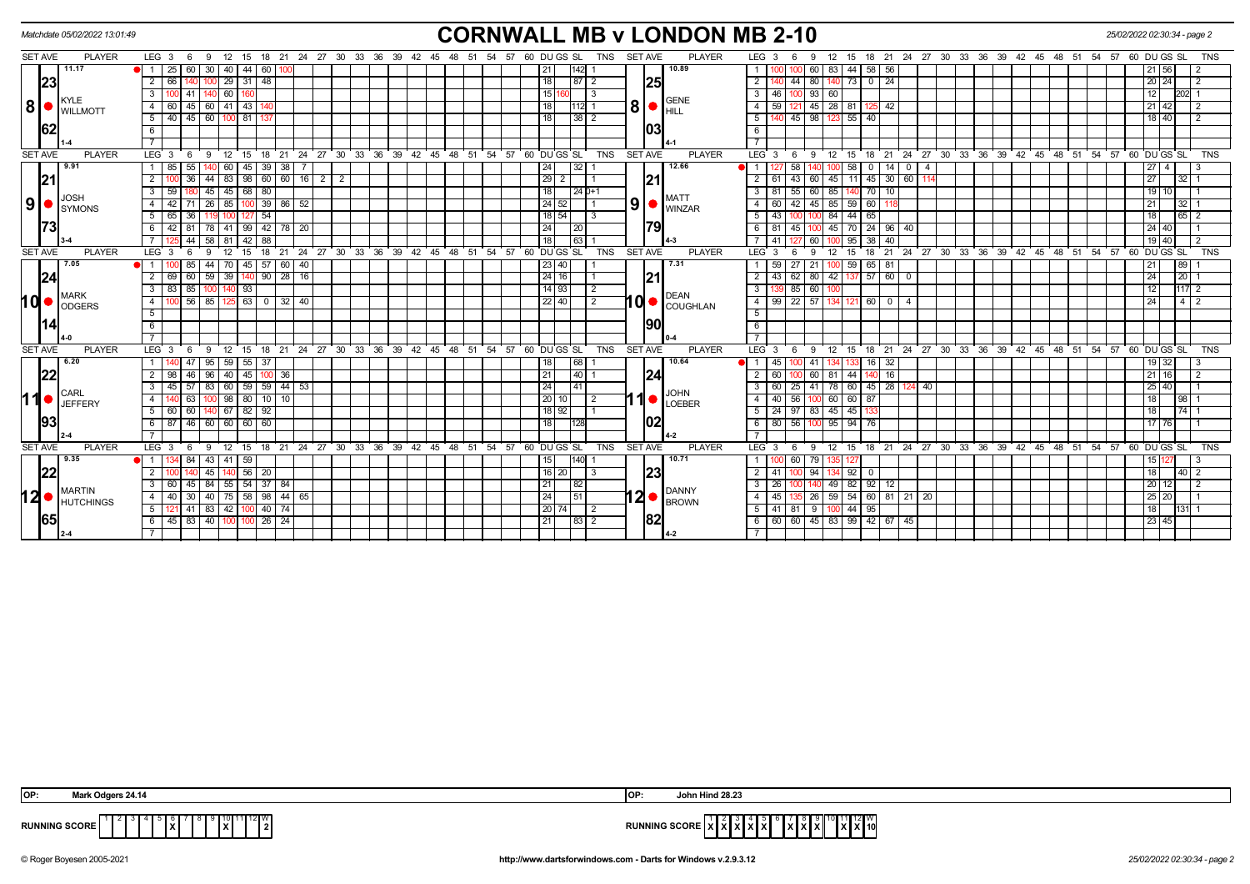| <b>CORNWALL MB v LONDON MB 2-10</b><br>Matchdate 05/02/2022 13:01:49<br>25/02/2022 02:30:34 - page 2 |                                                                                                                                                                                                                                                                                                                                                                                                                  |                              |                |                   |     |         |            |           |                                           |    |              |  |                |  |  |                            |  |  |  |                                                      |                |            |                |     |                                                   |                 |                                   |     |                          |                  |                                           |             |          |                |                   |  |                   |  |                                                      |                     |                |                   |            |
|------------------------------------------------------------------------------------------------------|------------------------------------------------------------------------------------------------------------------------------------------------------------------------------------------------------------------------------------------------------------------------------------------------------------------------------------------------------------------------------------------------------------------|------------------------------|----------------|-------------------|-----|---------|------------|-----------|-------------------------------------------|----|--------------|--|----------------|--|--|----------------------------|--|--|--|------------------------------------------------------|----------------|------------|----------------|-----|---------------------------------------------------|-----------------|-----------------------------------|-----|--------------------------|------------------|-------------------------------------------|-------------|----------|----------------|-------------------|--|-------------------|--|------------------------------------------------------|---------------------|----------------|-------------------|------------|
|                                                                                                      | <b>PLAYER</b><br><b>SET AVE</b><br>LEG <sub>3</sub><br>15 18 21 24 27 30 33 36 39 42 45 48 51 54 57 60 DU GS SL<br><b>TNS</b><br><b>SET AVE</b><br><b>PLAYER</b><br>15 18 21 24 27 30 33 36 39 42 45 48 51 54 57<br>12<br>LEG <sub>3</sub><br>12<br>60 DU GS SL<br>TNS<br>- 6<br>- 9<br>9<br>11.17<br>10.89<br>25<br>60 I<br>30<br> 40 <br>44<br>60<br>83<br>44 58 56<br>$\overline{1}$<br>21 56<br>21 I<br>60 l |                              |                |                   |     |         |            |           |                                           |    |              |  |                |  |  |                            |  |  |  |                                                      |                |            |                |     |                                                   |                 |                                   |     |                          |                  |                                           |             |          |                |                   |  |                   |  |                                                      |                     |                |                   |            |
|                                                                                                      | 23 <br>48<br> 25<br>$\overline{2}$<br>29<br>18<br>44<br>73<br>24<br>66<br>  31  <br>87   2<br>$\overline{2}$<br>80<br>$\overline{0}$<br>$20$ 24<br>$\overline{2}$<br>140                                                                                                                                                                                                                                         |                              |                |                   |     |         |            |           |                                           |    |              |  |                |  |  |                            |  |  |  |                                                      |                |            |                |     |                                                   |                 |                                   |     |                          |                  |                                           |             |          |                |                   |  |                   |  |                                                      |                     |                |                   |            |
|                                                                                                      |                                                                                                                                                                                                                                                                                                                                                                                                                  |                              |                |                   |     |         |            |           |                                           |    |              |  |                |  |  |                            |  |  |  |                                                      |                |            |                |     |                                                   |                 |                                   |     |                          |                  |                                           |             |          |                |                   |  |                   |  |                                                      |                     |                |                   |            |
|                                                                                                      |                                                                                                                                                                                                                                                                                                                                                                                                                  |                              | 3              |                   | 41  |         | 60         |           |                                           |    |              |  |                |  |  |                            |  |  |  | 15 1                                                 | 3              |            |                |     | <b>GENE</b>                                       |                 | $3 \mid 46$                       |     | 100 93 60                |                  |                                           |             |          |                |                   |  |                   |  |                                                      | 12                  |                | $202$ 1           |            |
| 8  ●                                                                                                 |                                                                                                                                                                                                                                                                                                                                                                                                                  | KYLE<br><b>I</b> WILLMOTT    | 4              | - 60              |     | 45 60   |            | 41 43     |                                           |    |              |  |                |  |  |                            |  |  |  | 18                                                   | 12 11          |            |                |     | $\vert 8 \vert$ $\bullet$ $\vert_{\rm HILL}$      | $\overline{4}$  | 59                                |     | 121 45 28 81             |                  |                                           | -42         |          |                |                   |  |                   |  |                                                      | 21 42               |                | $\overline{2}$    |            |
|                                                                                                      |                                                                                                                                                                                                                                                                                                                                                                                                                  |                              |                |                   |     |         |            |           | 5 40 45 60 100 81 37                      |    |              |  |                |  |  |                            |  |  |  | 18                                                   | 38   2         |            |                |     |                                                   |                 | 5   140                           |     |                          |                  | 45 98 123 55 40                           |             |          |                |                   |  |                   |  |                                                      | 18 40               |                | 2                 |            |
|                                                                                                      | 62                                                                                                                                                                                                                                                                                                                                                                                                               |                              | 6              |                   |     |         |            |           |                                           |    |              |  |                |  |  |                            |  |  |  |                                                      |                |            |                | 103 |                                                   | 6               |                                   |     |                          |                  |                                           |             |          |                |                   |  |                   |  |                                                      |                     |                |                   |            |
|                                                                                                      |                                                                                                                                                                                                                                                                                                                                                                                                                  |                              |                |                   |     |         |            |           |                                           |    |              |  |                |  |  |                            |  |  |  |                                                      |                |            |                |     |                                                   |                 |                                   |     |                          |                  |                                           |             |          |                |                   |  |                   |  |                                                      |                     |                |                   |            |
| <b>SET AVE</b>                                                                                       |                                                                                                                                                                                                                                                                                                                                                                                                                  | <b>PLAYER</b>                |                | LEG <sup>3</sup>  | - 6 | -9      | 12         | 15        | 18                                        |    |              |  |                |  |  |                            |  |  |  | 21 24 27 30 33 36 39 42 45 48 51 54 57 60 DUGS SL    |                | <b>TNS</b> | <b>SET AVE</b> |     | <b>PLAYER</b>                                     |                 | $LEG^{\cdot}$ 3                   | - 6 | 9                        | 12               | 15                                        |             |          |                |                   |  |                   |  | 18 21 24 27 30 33 36 39 42 45 48 51 54 57 60 DUGS SL |                     |                |                   | <b>TNS</b> |
|                                                                                                      |                                                                                                                                                                                                                                                                                                                                                                                                                  | 9.91                         |                | 1 85              | 55  |         | 60         | 45        | 39                                        | 38 |              |  |                |  |  |                            |  |  |  | 24                                                   | 32             |            |                |     | 12.66                                             | $\overline{1}$  |                                   | 58  |                          |                  | 58<br>$^{\circ}$                          | 14          | $\Omega$ | $\overline{a}$ |                   |  |                   |  |                                                      | 27 <sub>l</sub>     | $\overline{4}$ | 3                 |            |
|                                                                                                      | 21                                                                                                                                                                                                                                                                                                                                                                                                               |                              | $\overline{2}$ |                   | 36  | 44      |            |           | 83   98   60   60   16   2                |    |              |  | $\overline{2}$ |  |  |                            |  |  |  | $29$   2                                             |                |            |                | 21  |                                                   |                 | $2 \mid 61$                       | 43  | l 60 I                   | 45               | 11 45 30 60                               |             |          |                |                   |  |                   |  |                                                      | $\overline{27}$     |                | $32$   1          |            |
|                                                                                                      |                                                                                                                                                                                                                                                                                                                                                                                                                  |                              | 3              | 59                |     | 45      |            | $45 \ 68$ | 80                                        |    |              |  |                |  |  |                            |  |  |  | 18                                                   | 24   0+1       |            |                |     | <b>MATT</b>                                       |                 | $3 \mid 81$                       | 55  | 60 l                     | 85               | 70 I                                      | 10          |          |                |                   |  |                   |  |                                                      | 19 <sup>1</sup>     |                |                   |            |
| 9                                                                                                    |                                                                                                                                                                                                                                                                                                                                                                                                                  | <b>JOSH</b><br><b>SYMONS</b> | $\overline{4}$ |                   |     |         |            |           | 42 71 26 85 100 39 86 52                  |    |              |  |                |  |  |                            |  |  |  | 24   52                                              |                |            |                |     | $\vert 9 \vert$ $\bullet$ $\vert_{\text{WINZAR}}$ |                 | $4 \mid 60$                       |     |                          |                  | $42 \mid 45 \mid 85 \mid 59 \mid 60 \mid$ | 118         |          |                |                   |  |                   |  |                                                      | 21                  |                | $32 \mid 1$       |            |
|                                                                                                      |                                                                                                                                                                                                                                                                                                                                                                                                                  |                              | 5              | 65                | 36  |         |            |           | 127 54                                    |    |              |  |                |  |  |                            |  |  |  | 18 54                                                | -3             |            |                |     |                                                   |                 | 5 I<br> 43                        |     |                          | 84               | 44<br>65                                  |             |          |                |                   |  |                   |  |                                                      |                     |                | 65                |            |
|                                                                                                      |                                                                                                                                                                                                                                                                                                                                                                                                                  |                              |                |                   |     |         |            |           | 6 42 81 78 41 99 42 78 20                 |    |              |  |                |  |  |                            |  |  |  | 24                                                   | I 20           |            |                | 179 |                                                   |                 | 6   81                            |     |                          |                  | 45   100   45   70   24   96   40         |             |          |                |                   |  |                   |  |                                                      | $24 \overline{)40}$ |                |                   |            |
|                                                                                                      |                                                                                                                                                                                                                                                                                                                                                                                                                  |                              |                |                   | 44  | 58      | 81         | 42        | 88                                        |    |              |  |                |  |  |                            |  |  |  | 18 <sup>1</sup>                                      | 63             |            |                |     |                                                   |                 | 41                                |     |                          |                  | 95<br>38 <sup>1</sup>                     | 40          |          |                |                   |  |                   |  |                                                      | 19 40               |                | $\overline{2}$    |            |
| <b>SET AVE</b>                                                                                       |                                                                                                                                                                                                                                                                                                                                                                                                                  | <b>PLAYER</b>                |                | LEG <sub>3</sub>  |     |         |            | 15        | 18                                        | 21 |              |  |                |  |  |                            |  |  |  | 24 27 30 33 36 39 42 45 48 51 54 57 60 DUGS SL       |                | <b>TNS</b> | <b>SET AVE</b> |     | <b>PLAYER</b>                                     |                 | LEG <sup>3</sup>                  |     | 9                        |                  | 15                                        |             |          |                |                   |  |                   |  | 18 21 24 27 30 33 36 39 42 45 48 51 54 57 60 DUGS SL |                     |                |                   | <b>TNS</b> |
|                                                                                                      |                                                                                                                                                                                                                                                                                                                                                                                                                  | 7.05                         |                |                   | 85  | 44      | 70 I       | 45        | 57                                        |    | 60   40      |  |                |  |  |                            |  |  |  | 23   40                                              |                |            |                |     | 7.31                                              |                 | 59                                | 27  | 21                       | 100 I            | $59$ 65 81                                |             |          |                |                   |  |                   |  |                                                      | 21                  |                | 89                |            |
|                                                                                                      | 24                                                                                                                                                                                                                                                                                                                                                                                                               |                              | $\overline{2}$ | 69                |     | 60 59   |            |           | $39$ $140$ $90$ $28$ $16$                 |    |              |  |                |  |  |                            |  |  |  | 24 16                                                |                |            |                | 21  |                                                   |                 | $2 \mid 43$                       |     | 62 80 42                 |                  | $137$ 57 60 0                             |             |          |                |                   |  |                   |  |                                                      | $\overline{24}$     |                | $20$   1          |            |
|                                                                                                      |                                                                                                                                                                                                                                                                                                                                                                                                                  | <b>MARK</b>                  |                | $3 \overline{83}$ | 85  |         | 100 140 93 |           |                                           |    |              |  |                |  |  |                            |  |  |  | $14$   93                                            | 2              |            |                |     | <b>DEAN</b>                                       |                 |                                   |     | 85 60 100                |                  |                                           |             |          |                |                   |  |                   |  |                                                      |                     |                | $117\overline{2}$ |            |
| 1d•                                                                                                  |                                                                                                                                                                                                                                                                                                                                                                                                                  | ODGERS                       | $\overline{4}$ |                   |     | $56$ 85 |            |           | $125$ 63 0                                |    | $32 \mid 40$ |  |                |  |  |                            |  |  |  | $22$ 40                                              | $\overline{2}$ |            |                |     | <b>COUGHLAN</b>                                   |                 | $4 \mid 99$                       |     | 22 57 134                |                  | 121                                       | 6000        |          |                |                   |  |                   |  |                                                      | 24                  |                | $4$   2           |            |
|                                                                                                      |                                                                                                                                                                                                                                                                                                                                                                                                                  |                              | 5              |                   |     |         |            |           |                                           |    |              |  |                |  |  |                            |  |  |  |                                                      |                |            |                |     |                                                   | 5               |                                   |     |                          |                  |                                           |             |          |                |                   |  |                   |  |                                                      |                     |                |                   |            |
|                                                                                                      |                                                                                                                                                                                                                                                                                                                                                                                                                  |                              | 6              |                   |     |         |            |           |                                           |    |              |  |                |  |  |                            |  |  |  |                                                      |                |            |                | 190 |                                                   | $6\overline{6}$ |                                   |     |                          |                  |                                           |             |          |                |                   |  |                   |  |                                                      |                     |                |                   |            |
|                                                                                                      |                                                                                                                                                                                                                                                                                                                                                                                                                  |                              |                |                   |     |         |            |           |                                           |    |              |  |                |  |  |                            |  |  |  |                                                      |                |            |                |     |                                                   |                 |                                   |     |                          |                  |                                           |             |          |                |                   |  |                   |  |                                                      |                     |                |                   |            |
| <b>SET AVE</b>                                                                                       |                                                                                                                                                                                                                                                                                                                                                                                                                  | <b>PLAYER</b>                |                | LEG <sub>3</sub>  | - 6 | - 9     | 12         | 15        | 18                                        |    |              |  |                |  |  | 21 24 27 30 33 36 39 42 45 |  |  |  | 48 51 54 57 60 DUGS SL                               |                | TNS        | <b>SET AVE</b> |     | <b>PLAYER</b>                                     |                 | LEG <sup>3</sup>                  |     | 9                        | 12               | 15                                        |             |          |                | 18 21 24 27 30 33 |  | 36 39 42 45 48 51 |  | 54 57                                                | 60 DU GS SL         |                |                   | <b>TNS</b> |
|                                                                                                      |                                                                                                                                                                                                                                                                                                                                                                                                                  | 6.20                         |                |                   | 47  | 95      |            |           | 59   55   37                              |    |              |  |                |  |  |                            |  |  |  | 18 <sup>1</sup>                                      | 68             |            |                |     | 10.64                                             | 11              | 45                                |     | l 41                     | 134              |                                           | -32<br>16 I |          |                |                   |  |                   |  |                                                      |                     | 19 32          |                   |            |
|                                                                                                      | 22                                                                                                                                                                                                                                                                                                                                                                                                               |                              | $\overline{2}$ | 98                |     | 46 96   | 40         |           | $45$   100   36                           |    |              |  |                |  |  |                            |  |  |  | 21                                                   | 40             |            |                | 124 |                                                   |                 | $2 \mid 60$                       |     | 60 81                    |                  | 44                                        | $140$ 16    |          |                |                   |  |                   |  |                                                      | $21 \mid 16$        |                | $\overline{2}$    |            |
|                                                                                                      |                                                                                                                                                                                                                                                                                                                                                                                                                  | CARL                         | $\overline{3}$ |                   |     |         |            |           | 45   57   83   60   59   59   44   53     |    |              |  |                |  |  |                            |  |  |  | 24                                                   | l 41           |            |                |     |                                                   |                 | $3 \mid 60 \mid$                  |     |                          |                  | 25 41 78 60 45 28 124 40                  |             |          |                |                   |  |                   |  |                                                      | $25 \mid 40$        |                |                   |            |
| 11●                                                                                                  |                                                                                                                                                                                                                                                                                                                                                                                                                  | JEFFERY                      | $\overline{4}$ |                   | 63  |         |            |           | 100 98 80 10 10                           |    |              |  |                |  |  |                            |  |  |  | 20 10                                                | $\vert$ 2      |            |                |     | <b>JOHN<br/>LOEBER</b>                            | $-4$            | 40                                |     |                          |                  | 56 100 60 60 87                           |             |          |                |                   |  |                   |  |                                                      | $\overline{18}$     |                | 98                |            |
|                                                                                                      |                                                                                                                                                                                                                                                                                                                                                                                                                  |                              |                | $5 \overline{60}$ | 60  |         |            | 67   82   | 92                                        |    |              |  |                |  |  |                            |  |  |  | 18 92                                                |                |            |                |     |                                                   |                 | $5 \mid 24$                       |     | 97 83 45 45              |                  |                                           |             |          |                |                   |  |                   |  |                                                      | 18                  |                | 74                |            |
|                                                                                                      | 93                                                                                                                                                                                                                                                                                                                                                                                                               |                              |                |                   |     |         |            |           | $6$ 87 46 60 60 60 60                     |    |              |  |                |  |  |                            |  |  |  | 18                                                   |                |            |                | 02  |                                                   |                 | 6 80 56 100 95 94 76              |     |                          |                  |                                           |             |          |                |                   |  |                   |  |                                                      | $17$ 76             |                |                   |            |
|                                                                                                      |                                                                                                                                                                                                                                                                                                                                                                                                                  |                              | $\overline{7}$ |                   |     |         |            |           |                                           |    |              |  |                |  |  |                            |  |  |  |                                                      |                |            |                |     |                                                   |                 |                                   |     |                          |                  |                                           |             |          |                |                   |  |                   |  |                                                      |                     |                |                   |            |
| <b>SET AVE</b>                                                                                       |                                                                                                                                                                                                                                                                                                                                                                                                                  | <b>PLAYER</b><br>9.35        | $\mathbf{1}$   | LEG <sub>3</sub>  | - 6 | -9      | 12         | 15        |                                           |    |              |  |                |  |  |                            |  |  |  | 18 21 24 27 30 33 36 39 42 45 48 51 54 57 60 DUGS SL | 1401           | <b>TNS</b> | <b>SET AVE</b> |     | <b>PLAYER</b><br>10.71                            |                 | LEG <sup>3</sup>                  | -6  | - 9                      | 12               |                                           |             |          |                |                   |  |                   |  | 15 18 21 24 27 30 33 36 39 42 45 48 51 54 57         | 60 DU GS SL         |                |                   | <b>TNS</b> |
|                                                                                                      |                                                                                                                                                                                                                                                                                                                                                                                                                  |                              | $2^{\circ}$    |                   |     | 43      |            | 41   59   | 45 140 56 20                              |    |              |  |                |  |  |                            |  |  |  | 15<br>$16$   20                                      | $\sqrt{3}$     |            |                |     |                                                   |                 | $2 \mid 41$                       |     | 60   79<br>100 94 134 92 |                  | $\overline{0}$                            |             |          |                |                   |  |                   |  |                                                      | 18                  |                | 40 2              |            |
|                                                                                                      | 22                                                                                                                                                                                                                                                                                                                                                                                                               |                              | 3              | - 60              |     | 45 84   |            |           | $55 \mid 54 \mid 37 \mid 84$              |    |              |  |                |  |  |                            |  |  |  | 21                                                   | l 82 l         |            |                | 23  |                                                   |                 | 3   26                            |     |                          | 49               | 82<br>92                                  | 12          |          |                |                   |  |                   |  |                                                      | $20$ 12             |                | $\sqrt{2}$        |            |
| 12 ●                                                                                                 |                                                                                                                                                                                                                                                                                                                                                                                                                  | <b>MARTIN</b>                |                |                   |     |         |            |           | 4   40   30   40   75   58   98   44   65 |    |              |  |                |  |  |                            |  |  |  | 24                                                   | I 51           |            |                |     | $12$ $\bullet$ <b>BROWN</b>                       |                 | 4   45                            |     |                          |                  | 135 26 59 54 60 81 21 20                  |             |          |                |                   |  |                   |  |                                                      | 25 20               |                |                   |            |
|                                                                                                      |                                                                                                                                                                                                                                                                                                                                                                                                                  | <b>HUTCHINGS</b>             |                | $5 \mid 12$       |     |         |            |           | 41   83   42   100   40   74              |    |              |  |                |  |  |                            |  |  |  | 20 74                                                | l 2            |            |                |     |                                                   |                 | 5   41   81   9                   |     |                          | 100 <sup>1</sup> | 44<br>95                                  |             |          |                |                   |  |                   |  |                                                      | 18                  |                |                   |            |
|                                                                                                      | 65                                                                                                                                                                                                                                                                                                                                                                                                               |                              |                |                   |     |         |            |           | 6 45 83 40 100 100 26 24                  |    |              |  |                |  |  |                            |  |  |  | 21                                                   | 83 2           |            |                | 82  |                                                   |                 | $6$ 6 6 6 6 $1$ 45 83 99 42 67 45 |     |                          |                  |                                           |             |          |                |                   |  |                   |  |                                                      | $23 \mid 45$        |                |                   |            |
|                                                                                                      |                                                                                                                                                                                                                                                                                                                                                                                                                  |                              |                |                   |     |         |            |           |                                           |    |              |  |                |  |  |                            |  |  |  |                                                      |                |            |                |     |                                                   |                 |                                   |     |                          |                  |                                           |             |          |                |                   |  |                   |  |                                                      |                     |                |                   |            |
|                                                                                                      |                                                                                                                                                                                                                                                                                                                                                                                                                  |                              |                |                   |     |         |            |           |                                           |    |              |  |                |  |  |                            |  |  |  |                                                      |                |            |                |     |                                                   |                 |                                   |     |                          |                  |                                           |             |          |                |                   |  |                   |  |                                                      |                     |                |                   |            |

| IOP: | 0111<br>Mark<br>ananki                                                                                 | IOP:  | lind.  | <b>no no</b> |  |
|------|--------------------------------------------------------------------------------------------------------|-------|--------|--------------|--|
| MIN  | <b>CORE</b><br>$\overline{\phantom{a}}$<br>$\sim$<br>$\lambda$<br>灬<br>the contract of the contract of | INING | $\sim$ | $\sim$       |  |

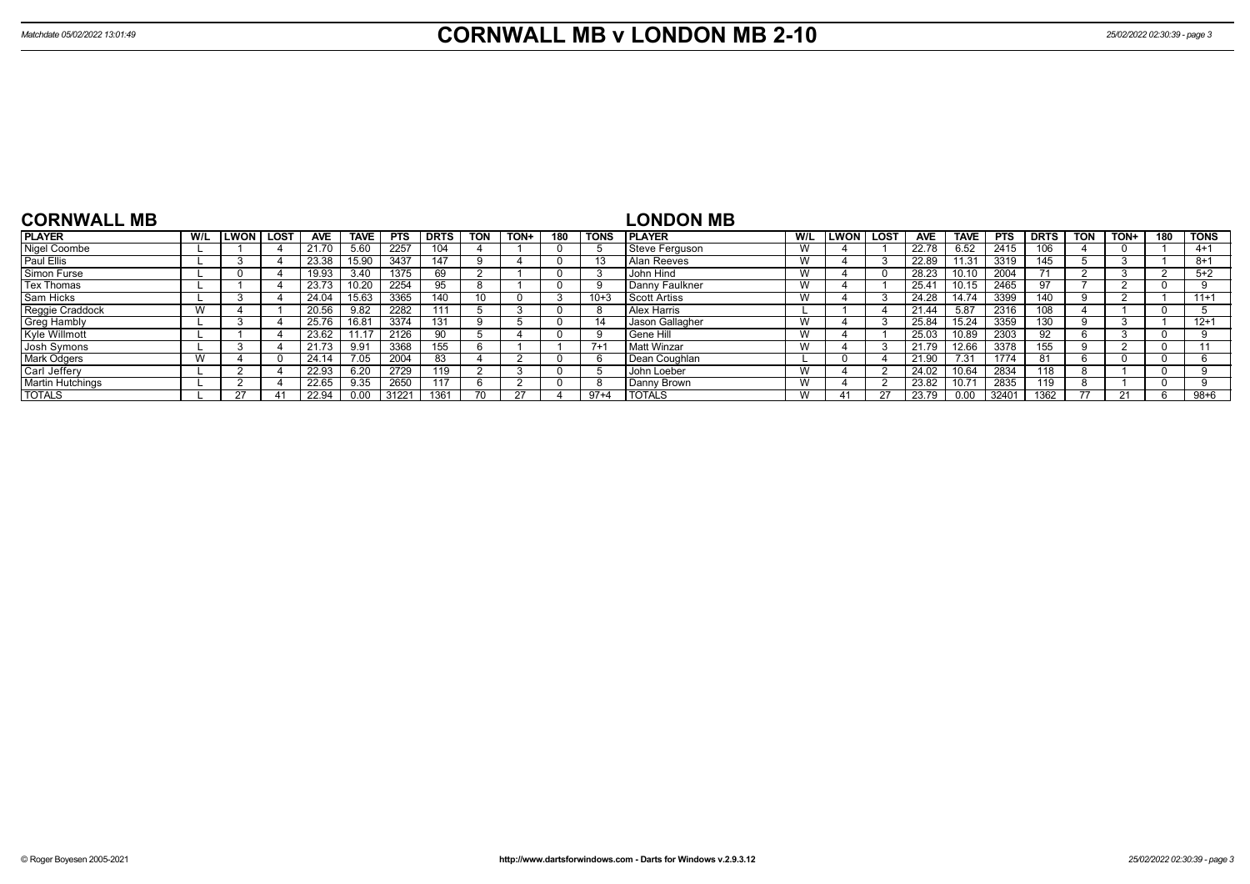| <b>CORNWALL MB</b>      |     |             |             |            |       |            |             |            |      |     |             | <b>LONDON MB</b>      |     |             |             |                |             |            |             |     |      |     |             |
|-------------------------|-----|-------------|-------------|------------|-------|------------|-------------|------------|------|-----|-------------|-----------------------|-----|-------------|-------------|----------------|-------------|------------|-------------|-----|------|-----|-------------|
| <b>PLAYER</b>           | W/L | <b>LWON</b> | <b>LOST</b> | <b>AVE</b> | TAVE. | <b>PTS</b> | <b>DRTS</b> | <b>TON</b> | TON+ | 180 | <b>TONS</b> | <b>PLAYER</b>         | W/L | <b>LWON</b> | <b>LOST</b> | <b>AVE</b>     | <b>TAVE</b> | <b>PTS</b> | <b>DRTS</b> | TON | TON+ | 180 | <b>TONS</b> |
| Nigel Coombe            |     |             |             | 21.70      | 5.60  | 2257       |             |            |      |     |             | <b>Steve Ferguson</b> | W   |             |             | 22.78          | 6.52        | 2415       | 106         |     |      |     | $4 + 1$     |
| Paul Ellis              |     |             |             | 23.38      | 15.90 | 3437       | 147         |            |      |     |             | Alan Reeves           | W   |             |             | 22.89          | 11.31       | 3319       | 145         |     |      |     | 8+1         |
| <b>Simon Furse</b>      |     |             |             | 19.93      | 3.40  | 1375       | 69          |            |      |     |             | John Hind             | W   |             |             | 28.23          | 10.10       | 2004       |             |     |      |     | $5+2$       |
| Tex Thomas              |     |             |             | 23.73      |       | 2254       | 95          |            |      |     |             | Danny Faulkner        | W   |             |             | $25.4^{\circ}$ | 10.15       | 2465       | 97          |     |      |     |             |
| Sam Hicks               |     |             |             | 24.04      | 15.63 | 3365       | 140         | 10         |      |     | $10+3$      | l Scott Artiss        | W   |             |             | 24.28          | 14.74       | 3399       | 140         |     |      |     | $11+1$      |
| Reggie Craddock         |     |             |             | 20.56      | 9.82  | 2282       | 111         |            |      |     | - 6         | l Alex Harris         |     |             |             | 21.44          | 5.87        | 2316       | 108         |     |      |     |             |
| <b>Greg Hambly</b>      |     |             |             | 25.76      | 16.81 | 3374       | 131         |            |      |     | 14          | Jason Gallagher       | W   |             |             | 25.84          | 15.24       | 3359       | 130         |     |      |     | $12+1$      |
| Kyle Willmott           |     |             |             | 23.62      |       | 2126       | 90          |            |      |     |             | l Gene Hill           | W   |             |             | 25.03          | 10.89       | 2303       | 92          |     |      |     |             |
| Josh Symons             |     |             |             | 21.73      | 9.91  | 3368       | 155         |            |      |     | $7+$        | Matt Winzar           | W   |             |             |                | 12.66       | 3378       | 155         |     |      |     |             |
| Mark Odgers             |     |             |             | 24.14      | 7.05  | 2004       | 83          |            |      |     |             | Dean Coughlan         |     |             |             | 21.90          | 7.31        | 1774       | 81          |     |      |     |             |
| Carl Jeffery            |     |             |             | 22.93      | 6.20  | 2729       | 119         |            |      |     |             | John Loeber           | W   |             |             | 24.02          | 10.64       | 2834       | 118         |     |      |     |             |
| <b>Martin Hutchings</b> |     |             |             | 22.65      | 9.35  | 2650       | 117         |            |      |     |             | Danny Brown           | W   |             |             | 23.82          | 10.71       | 2835       | 119         |     |      |     |             |
| <b>TOTALS</b>           |     |             |             | 22.94      | 0.00  | 31221      | 1361        |            |      |     | $97+4$      | <b>TOTALS</b>         | W   |             | 27          | 23.79          | 0.00        | 32401      | 1362        |     | 21   |     | $98 + 6$    |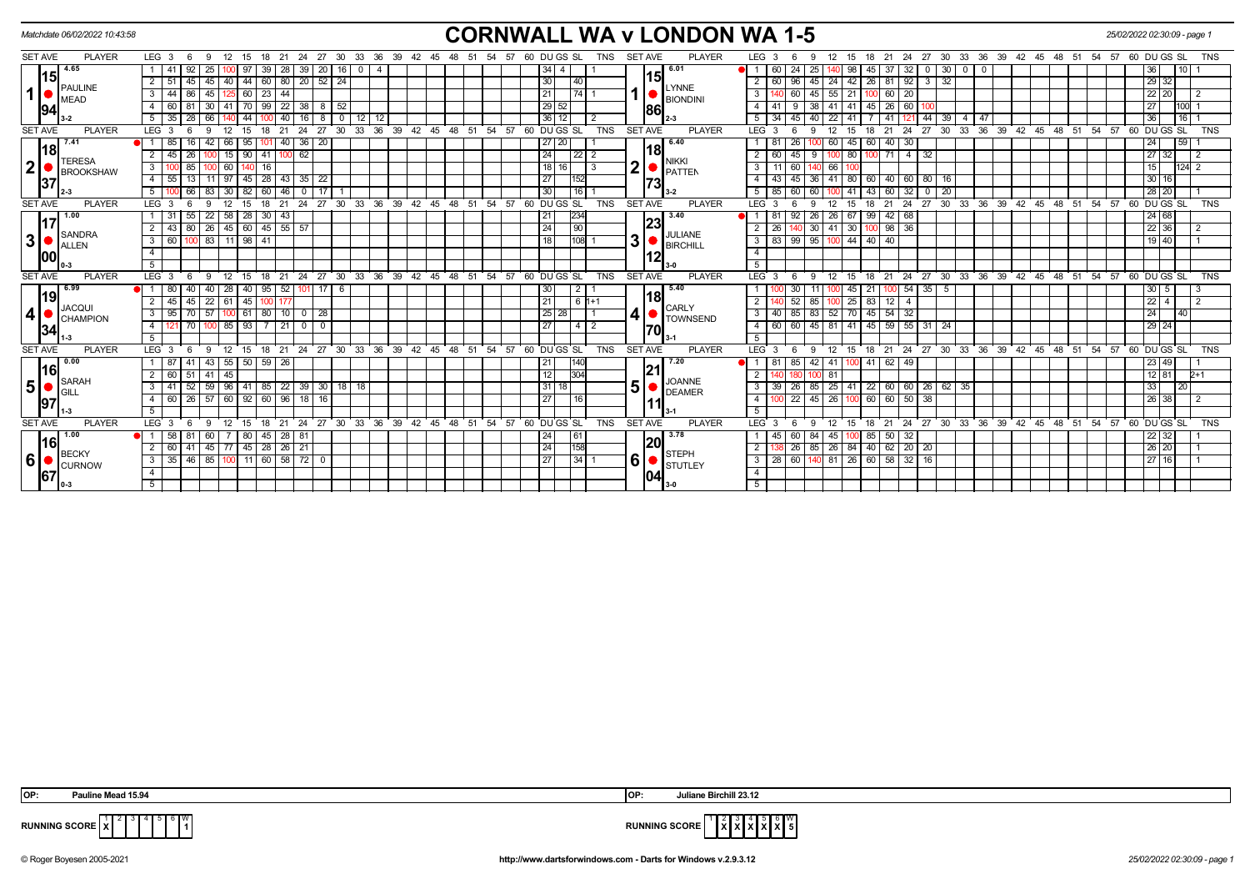| <b>SET AVE</b><br><b>PLAYER</b><br><b>PLAYER</b><br>$LEG_3 6$<br>24 27<br>33<br>36<br>60 DU GS SL<br><b>SET AVE</b><br>LEG 3<br>27<br>36<br>39 42 45<br>57 60 DU GS SL<br>21<br>- 30<br>39<br>TNS<br>21<br>24<br>30<br>33<br>48<br>51<br>54<br>TNS<br>- 9<br>12<br>- 15<br>18<br>42<br>45<br>48<br>-57<br>12<br>- 15<br>18<br>- 6<br>$15$ <sup>4.65</sup><br>6.01<br>25<br>39<br>28<br>$\sqrt{39}$<br>20<br>60<br>24<br>25<br>45<br>32<br>34<br>30<br>36<br>$\overline{0}$<br>$\mathbf{0}$<br>10 I<br>15<br>45 40 44 60 80 20 52 24<br>30<br>29 32<br>45   24   42   26   81   92   3  <br>32<br> 40 <br>$\overline{2}$<br> 45 <br>2 I<br>60   96<br>PAULINE<br><b>LYNNE</b><br>$\mathbf{1}$<br>45<br> 23 44<br>21<br> 74 1<br>$45$ 55 21<br>$22$ 20<br>$60$   20<br>44 86<br>$125$ 60<br>3 <sup>1</sup><br>100<br>3 <sup>1</sup><br>60<br><b>MEAD</b><br><b>BIONDINI</b><br>30 41 70 99 22 38<br>29 52<br> 38 <br>41 41 45 26 60<br>8 52<br>$\overline{4}$<br>27<br>10011<br>60 81<br>-41<br>91<br> 94<br>86<br>66<br>8<br>$\sqrt{12}$<br>36 12<br>40<br> 44 <br>36<br>$16$ $\degree$<br>$35 \mid 28$<br>40<br>l 16<br>$0$ 12<br>5<br>34<br>22 41<br>$39$ 4 47<br>5<br>44<br>45<br>-41<br>  121  <br>$24$ 27 30<br>33 36 39 42 45 48 51 54 57 60 DUGS SL<br>21 24 27 30<br>33 36 39 42 45 48 51 54 57 60 DUGS SL<br><b>PLAYER</b><br>LEG <sub>3</sub><br>12<br>18<br>$^{\circ}$ 21<br>TNS<br><b>SET AVE</b><br><b>PLAYER</b><br>LEG <sup>'</sup><br>12<br>18<br><b>TNS</b><br>9<br>- 15<br>-3<br>9<br>- 15<br>- 6<br>- 6<br>20<br>6.40<br>60<br>24<br>l 7.41<br>85<br>$42 \mid 66 \mid$<br>$\sqrt{95}$<br>$40 \mid 36$<br>27 20<br>60 45<br>$40 \mid 30$<br>59<br>26<br>101 <br> 18 <br>18<br>$27 \overline{32}$<br>41   100   62<br>$4 \mid 32$<br>90<br>24<br>9<br>$\overline{2}$<br>45<br>26<br>15<br>$\sqrt{22}$ 2<br>$\overline{2}$<br>60<br>45<br>100 80<br>71<br>100<br><b>TERESA</b><br><b>NIKKI</b><br>$\mathbf{2}$<br>$\overline{\mathbf{2}}$<br>15<br>3<br>16<br>18   16  <br>3<br>$124$ 2<br>85<br>60<br>$\vert$ 3<br>11<br>$\sqrt{60}$<br>140<br>66 100<br><b>PATTEN</b><br><b>BROOKSHAW</b><br>$30 \mid 16$<br>$28 \mid 43 \mid 35 \mid 22$<br>27<br>$\overline{4}$<br>36 41 80 60 40 60 80 16<br>4 I<br>55<br>13<br>11 97 45<br>152<br>$43 \mid 45 \mid$<br> 37 <br> 73<br>30<br>28 20<br>66 83 30 82 60 46 0 17<br>$85$ 60 60 100 41 43 60 32 0<br>5 <sup>5</sup><br>$5 \mid$<br> 16 1<br>$3 - 2$<br>$\sqrt{20}$<br>27 30 33 36 39 42 45 48 51 54 57 60 DUGS SL<br><b>PLAYER</b><br>21<br>24<br>27 30 33 36 39 42 45 48 51 54 57<br>60 DU GS SL<br>TNS<br><b>SET AVE</b><br><b>PLAYER</b><br>$LEG_3$<br>21<br>24<br>LEG <sub>3</sub><br>12<br>18<br>12<br>15<br>18<br><b>TNS</b><br>15<br>-6<br>24 68<br>1.00<br>$58$   28<br>$30 \mid 43$<br>234<br>3.40<br>99<br>22<br>21<br>26<br>26 67<br>$42 \mid 68$<br>1 31<br>-81<br>92<br>55<br>17<br> 23<br>22 36<br>80   26   45   60   45   55   57<br>24<br>$\overline{90}$<br>40 30 41 30 100 98 36<br>$\overline{2}$<br>43<br>2 I<br>26<br>SANDRA<br><b>JULIANE</b><br>3 <sup>1</sup><br>3 <sub>l</sub><br>100 83 11 98 41<br>18<br>83   99   95   100   44   40   40<br>60 1<br>$ 108 $ 1<br>3<br>19 40<br>3 I<br><b>BIRCHILL</b><br>ALLEN<br>$\overline{4}$<br>$\overline{4}$<br><b>100</b><br>5<br>5<br>24 27 30 33 36 39 42 45 48 51<br>30 33 36 39 42 45 48 51<br>$54$ $57$ 60 DU GS SL<br><b>PLAYER</b><br>LEG <sub>3</sub><br>54<br>57<br>60 DU GS SL<br><b>TNS</b><br><b>SET AVE</b><br><b>PLAYER</b><br>LEG <sup>'</sup><br>$^{\circ}$ 24<br>27<br><b>TNS</b><br>12<br>21<br>12<br>21<br>15<br>18<br>18<br>6.99<br>5.40<br>40<br>28<br>95<br>52 101 <br>17<br>30<br>54<br>35<br>$30 \overline{5}$<br>  40  <br>2 <br>21<br>45<br>- 5<br> 19 <br>18<br>$22$ 4<br>22   61<br>21<br>$\overline{83}$<br>85<br>$100$ 25<br>$\overline{2}$<br>$\sqrt{45}$<br>100 <sub>1</sub><br>$6 \mid 1+1$<br>$\overline{2}$<br>52<br>45<br>45<br>12<br>$\overline{4}$<br><b>JACQUI</b><br><b>CARLY</b><br>4<br>$\overline{70}$ 57 100 61 80 10 0 28<br> 25 28 <br>83 52 70 45 54 32<br>24<br>3<br>3 <sup>1</sup><br>95<br>$40 \mid 85$<br>$ 40\rangle$<br>TOWNSEND<br><b>CHAMPION</b><br>$145$ 59 55 31<br>29 24<br>$100$ 85   93<br>27<br>45 81 41<br>7 21 0<br>$\overline{0}$<br>$-4$<br>$\overline{4}$<br>4   2<br>60 60<br>24<br>70 I<br> 34 <br>170<br>5<br>5<br>12 15 18 21 24 27 30 33 36 39 42 45 48 51 54 57 60 DUGS SL<br><b>PLAYER</b><br>LEG <sub>3</sub><br>18 21 24 27 30 33 36 39 42 45 48 51 54 57<br>60 DU GS SL<br>TNS<br><b>SET AVE</b><br><b>PLAYER</b><br>LEG <sup>3</sup><br>-9<br>12<br>15<br>9<br>TNS<br>- 6<br>- 6<br> 0.00<br>43 55 50 59 26<br>42 41 100 41<br>23 49<br>1 87<br>21<br>140<br>7.20<br>-81<br>  85<br>62   49<br> 16 <br>$41 \mid 45$<br>12<br>304<br>$12 \mid 81$<br>60 51<br>$\overline{2}$<br>81<br>$\overline{2}$<br>100 I<br>SARAH<br><b>JOANNE</b><br>5 <br>5 <sup>1</sup><br>59   96   41   85   22   39   30   18   18<br>85   25   41   22   60   60   26   62   35<br>33<br>52<br>31<br>18 <sup>1</sup><br>3 <sup>1</sup><br>$39 \mid 26$<br>3 I<br><b>DEAMER</b><br>GILI<br>$45$ 26 100 60 60 50 38<br>$\boxed{60}$ 26 57 60 92 60 96 18<br>26 38<br>16<br>27<br>$\overline{4}$<br> 16<br>$0\overline{22}$<br>4<br> 97 <br>5<br>5<br><b>PLAYER</b><br>24 27 30 33 36 39 42 45 48 51<br>60 DU GS SL<br><b>TNS</b><br><b>SET AVE</b><br><b>PLAYER</b><br>LEG <sup>3</sup><br>27 30 33 36 39 42 45 48 51<br>60 DU GS SL<br>LEG <sub>3</sub><br>ີ 21<br>54 57<br>$12 \quad 15$<br>21 24<br>54 57<br><b>TNS</b><br>$12 \quad 15$<br>18<br>9<br>18<br>- 6<br>- 9<br>- 6<br>1.00<br>3.78<br>58<br>$45 \mid 28 \mid 81$<br>45 100 85 50 32<br>22 32<br>60<br>24<br>84 I<br>  7   80  <br>161<br>$\bullet$ ii<br>l 81<br>60<br>16<br><b>20</b><br>$26 \overline{)20}$<br>60 41 45 77 45 28 26 21<br>$\overline{24}$<br> 158 <br>138 26 85 26 84 40 62 20 20<br>$\overline{2}$<br>$\overline{2}$<br><b>BECKY</b><br><b>STEPH</b><br>$6\vert$<br>$6 \mid$<br>$35   46   85   100   11   60   58   72   0$<br>27<br>$3$   28   60   140   81   26   60   58   32   16  <br> 34 1<br>27 16<br>3 <sup>1</sup><br><b>CURNOW</b><br><b>STUTLEY</b><br>$\overline{4}$<br>$\overline{4}$<br> 67 <br>104<br>5 <sup>5</sup><br>5 <sup>5</sup> | Matchdate 06/02/2022 10:43:58 |  |  |  |  |  |  |  |  |  |  | <b>CORNWALL WA v LONDON WA 1-5</b> |  |  |  |  |  |  |  |  | 25/02/2022 02:30:09 - page 1 |
|--------------------------------------------------------------------------------------------------------------------------------------------------------------------------------------------------------------------------------------------------------------------------------------------------------------------------------------------------------------------------------------------------------------------------------------------------------------------------------------------------------------------------------------------------------------------------------------------------------------------------------------------------------------------------------------------------------------------------------------------------------------------------------------------------------------------------------------------------------------------------------------------------------------------------------------------------------------------------------------------------------------------------------------------------------------------------------------------------------------------------------------------------------------------------------------------------------------------------------------------------------------------------------------------------------------------------------------------------------------------------------------------------------------------------------------------------------------------------------------------------------------------------------------------------------------------------------------------------------------------------------------------------------------------------------------------------------------------------------------------------------------------------------------------------------------------------------------------------------------------------------------------------------------------------------------------------------------------------------------------------------------------------------------------------------------------------------------------------------------------------------------------------------------------------------------------------------------------------------------------------------------------------------------------------------------------------------------------------------------------------------------------------------------------------------------------------------------------------------------------------------------------------------------------------------------------------------------------------------------------------------------------------------------------------------------------------------------------------------------------------------------------------------------------------------------------------------------------------------------------------------------------------------------------------------------------------------------------------------------------------------------------------------------------------------------------------------------------------------------------------------------------------------------------------------------------------------------------------------------------------------------------------------------------------------------------------------------------------------------------------------------------------------------------------------------------------------------------------------------------------------------------------------------------------------------------------------------------------------------------------------------------------------------------------------------------------------------------------------------------------------------------------------------------------------------------------------------------------------------------------------------------------------------------------------------------------------------------------------------------------------------------------------------------------------------------------------------------------------------------------------------------------------------------------------------------------------------------------------------------------------------------------------------------------------------------------------------------------------------------------------------------------------------------------------------------------------------------------------------------------------------------------------------------------------------------------------------------------------------------------------------------------------------------------------------------------------------------------------------------------------------------------------------------------------------------------------------------------------------------------------------------------------------------------------------------------------------------------------------------------------------------------------------------------------------------------------------------------------------------------------------------------------------------------------------------------------------------------------------------------------------------------------------------------------------------------------------------------------------------------------------------------------------------------------------------------------------------------------------------------------------------------------------------------------------------------------------------------------------------------------------------------------------------------------------------------------------------------------------------------------------------------------------------------------------------------------------------------------------------------------------------------------------------------------------------------------------------------------------------------------------------------------------------------------------------------------------------------------------------------------------------------------------------------------------------------------------------------------------|-------------------------------|--|--|--|--|--|--|--|--|--|--|------------------------------------|--|--|--|--|--|--|--|--|------------------------------|
|                                                                                                                                                                                                                                                                                                                                                                                                                                                                                                                                                                                                                                                                                                                                                                                                                                                                                                                                                                                                                                                                                                                                                                                                                                                                                                                                                                                                                                                                                                                                                                                                                                                                                                                                                                                                                                                                                                                                                                                                                                                                                                                                                                                                                                                                                                                                                                                                                                                                                                                                                                                                                                                                                                                                                                                                                                                                                                                                                                                                                                                                                                                                                                                                                                                                                                                                                                                                                                                                                                                                                                                                                                                                                                                                                                                                                                                                                                                                                                                                                                                                                                                                                                                                                                                                                                                                                                                                                                                                                                                                                                                                                                                                                                                                                                                                                                                                                                                                                                                                                                                                                                                                                                                                                                                                                                                                                                                                                                                                                                                                                                                                                                                                                                                                                                                                                                                                                                                                                                                                                                                                                                                                                                                                                                      |                               |  |  |  |  |  |  |  |  |  |  |                                    |  |  |  |  |  |  |  |  |                              |
|                                                                                                                                                                                                                                                                                                                                                                                                                                                                                                                                                                                                                                                                                                                                                                                                                                                                                                                                                                                                                                                                                                                                                                                                                                                                                                                                                                                                                                                                                                                                                                                                                                                                                                                                                                                                                                                                                                                                                                                                                                                                                                                                                                                                                                                                                                                                                                                                                                                                                                                                                                                                                                                                                                                                                                                                                                                                                                                                                                                                                                                                                                                                                                                                                                                                                                                                                                                                                                                                                                                                                                                                                                                                                                                                                                                                                                                                                                                                                                                                                                                                                                                                                                                                                                                                                                                                                                                                                                                                                                                                                                                                                                                                                                                                                                                                                                                                                                                                                                                                                                                                                                                                                                                                                                                                                                                                                                                                                                                                                                                                                                                                                                                                                                                                                                                                                                                                                                                                                                                                                                                                                                                                                                                                                                      |                               |  |  |  |  |  |  |  |  |  |  |                                    |  |  |  |  |  |  |  |  |                              |
|                                                                                                                                                                                                                                                                                                                                                                                                                                                                                                                                                                                                                                                                                                                                                                                                                                                                                                                                                                                                                                                                                                                                                                                                                                                                                                                                                                                                                                                                                                                                                                                                                                                                                                                                                                                                                                                                                                                                                                                                                                                                                                                                                                                                                                                                                                                                                                                                                                                                                                                                                                                                                                                                                                                                                                                                                                                                                                                                                                                                                                                                                                                                                                                                                                                                                                                                                                                                                                                                                                                                                                                                                                                                                                                                                                                                                                                                                                                                                                                                                                                                                                                                                                                                                                                                                                                                                                                                                                                                                                                                                                                                                                                                                                                                                                                                                                                                                                                                                                                                                                                                                                                                                                                                                                                                                                                                                                                                                                                                                                                                                                                                                                                                                                                                                                                                                                                                                                                                                                                                                                                                                                                                                                                                                                      |                               |  |  |  |  |  |  |  |  |  |  |                                    |  |  |  |  |  |  |  |  |                              |
|                                                                                                                                                                                                                                                                                                                                                                                                                                                                                                                                                                                                                                                                                                                                                                                                                                                                                                                                                                                                                                                                                                                                                                                                                                                                                                                                                                                                                                                                                                                                                                                                                                                                                                                                                                                                                                                                                                                                                                                                                                                                                                                                                                                                                                                                                                                                                                                                                                                                                                                                                                                                                                                                                                                                                                                                                                                                                                                                                                                                                                                                                                                                                                                                                                                                                                                                                                                                                                                                                                                                                                                                                                                                                                                                                                                                                                                                                                                                                                                                                                                                                                                                                                                                                                                                                                                                                                                                                                                                                                                                                                                                                                                                                                                                                                                                                                                                                                                                                                                                                                                                                                                                                                                                                                                                                                                                                                                                                                                                                                                                                                                                                                                                                                                                                                                                                                                                                                                                                                                                                                                                                                                                                                                                                                      |                               |  |  |  |  |  |  |  |  |  |  |                                    |  |  |  |  |  |  |  |  |                              |
|                                                                                                                                                                                                                                                                                                                                                                                                                                                                                                                                                                                                                                                                                                                                                                                                                                                                                                                                                                                                                                                                                                                                                                                                                                                                                                                                                                                                                                                                                                                                                                                                                                                                                                                                                                                                                                                                                                                                                                                                                                                                                                                                                                                                                                                                                                                                                                                                                                                                                                                                                                                                                                                                                                                                                                                                                                                                                                                                                                                                                                                                                                                                                                                                                                                                                                                                                                                                                                                                                                                                                                                                                                                                                                                                                                                                                                                                                                                                                                                                                                                                                                                                                                                                                                                                                                                                                                                                                                                                                                                                                                                                                                                                                                                                                                                                                                                                                                                                                                                                                                                                                                                                                                                                                                                                                                                                                                                                                                                                                                                                                                                                                                                                                                                                                                                                                                                                                                                                                                                                                                                                                                                                                                                                                                      |                               |  |  |  |  |  |  |  |  |  |  |                                    |  |  |  |  |  |  |  |  |                              |
|                                                                                                                                                                                                                                                                                                                                                                                                                                                                                                                                                                                                                                                                                                                                                                                                                                                                                                                                                                                                                                                                                                                                                                                                                                                                                                                                                                                                                                                                                                                                                                                                                                                                                                                                                                                                                                                                                                                                                                                                                                                                                                                                                                                                                                                                                                                                                                                                                                                                                                                                                                                                                                                                                                                                                                                                                                                                                                                                                                                                                                                                                                                                                                                                                                                                                                                                                                                                                                                                                                                                                                                                                                                                                                                                                                                                                                                                                                                                                                                                                                                                                                                                                                                                                                                                                                                                                                                                                                                                                                                                                                                                                                                                                                                                                                                                                                                                                                                                                                                                                                                                                                                                                                                                                                                                                                                                                                                                                                                                                                                                                                                                                                                                                                                                                                                                                                                                                                                                                                                                                                                                                                                                                                                                                                      |                               |  |  |  |  |  |  |  |  |  |  |                                    |  |  |  |  |  |  |  |  |                              |
| <b>SET AVE</b><br><b>SET AVE</b><br><b>SET AVE</b><br><b>SET AVE</b>                                                                                                                                                                                                                                                                                                                                                                                                                                                                                                                                                                                                                                                                                                                                                                                                                                                                                                                                                                                                                                                                                                                                                                                                                                                                                                                                                                                                                                                                                                                                                                                                                                                                                                                                                                                                                                                                                                                                                                                                                                                                                                                                                                                                                                                                                                                                                                                                                                                                                                                                                                                                                                                                                                                                                                                                                                                                                                                                                                                                                                                                                                                                                                                                                                                                                                                                                                                                                                                                                                                                                                                                                                                                                                                                                                                                                                                                                                                                                                                                                                                                                                                                                                                                                                                                                                                                                                                                                                                                                                                                                                                                                                                                                                                                                                                                                                                                                                                                                                                                                                                                                                                                                                                                                                                                                                                                                                                                                                                                                                                                                                                                                                                                                                                                                                                                                                                                                                                                                                                                                                                                                                                                                                 | <b>SET AVE</b>                |  |  |  |  |  |  |  |  |  |  |                                    |  |  |  |  |  |  |  |  |                              |
|                                                                                                                                                                                                                                                                                                                                                                                                                                                                                                                                                                                                                                                                                                                                                                                                                                                                                                                                                                                                                                                                                                                                                                                                                                                                                                                                                                                                                                                                                                                                                                                                                                                                                                                                                                                                                                                                                                                                                                                                                                                                                                                                                                                                                                                                                                                                                                                                                                                                                                                                                                                                                                                                                                                                                                                                                                                                                                                                                                                                                                                                                                                                                                                                                                                                                                                                                                                                                                                                                                                                                                                                                                                                                                                                                                                                                                                                                                                                                                                                                                                                                                                                                                                                                                                                                                                                                                                                                                                                                                                                                                                                                                                                                                                                                                                                                                                                                                                                                                                                                                                                                                                                                                                                                                                                                                                                                                                                                                                                                                                                                                                                                                                                                                                                                                                                                                                                                                                                                                                                                                                                                                                                                                                                                                      |                               |  |  |  |  |  |  |  |  |  |  |                                    |  |  |  |  |  |  |  |  |                              |
|                                                                                                                                                                                                                                                                                                                                                                                                                                                                                                                                                                                                                                                                                                                                                                                                                                                                                                                                                                                                                                                                                                                                                                                                                                                                                                                                                                                                                                                                                                                                                                                                                                                                                                                                                                                                                                                                                                                                                                                                                                                                                                                                                                                                                                                                                                                                                                                                                                                                                                                                                                                                                                                                                                                                                                                                                                                                                                                                                                                                                                                                                                                                                                                                                                                                                                                                                                                                                                                                                                                                                                                                                                                                                                                                                                                                                                                                                                                                                                                                                                                                                                                                                                                                                                                                                                                                                                                                                                                                                                                                                                                                                                                                                                                                                                                                                                                                                                                                                                                                                                                                                                                                                                                                                                                                                                                                                                                                                                                                                                                                                                                                                                                                                                                                                                                                                                                                                                                                                                                                                                                                                                                                                                                                                                      |                               |  |  |  |  |  |  |  |  |  |  |                                    |  |  |  |  |  |  |  |  |                              |
|                                                                                                                                                                                                                                                                                                                                                                                                                                                                                                                                                                                                                                                                                                                                                                                                                                                                                                                                                                                                                                                                                                                                                                                                                                                                                                                                                                                                                                                                                                                                                                                                                                                                                                                                                                                                                                                                                                                                                                                                                                                                                                                                                                                                                                                                                                                                                                                                                                                                                                                                                                                                                                                                                                                                                                                                                                                                                                                                                                                                                                                                                                                                                                                                                                                                                                                                                                                                                                                                                                                                                                                                                                                                                                                                                                                                                                                                                                                                                                                                                                                                                                                                                                                                                                                                                                                                                                                                                                                                                                                                                                                                                                                                                                                                                                                                                                                                                                                                                                                                                                                                                                                                                                                                                                                                                                                                                                                                                                                                                                                                                                                                                                                                                                                                                                                                                                                                                                                                                                                                                                                                                                                                                                                                                                      |                               |  |  |  |  |  |  |  |  |  |  |                                    |  |  |  |  |  |  |  |  |                              |
|                                                                                                                                                                                                                                                                                                                                                                                                                                                                                                                                                                                                                                                                                                                                                                                                                                                                                                                                                                                                                                                                                                                                                                                                                                                                                                                                                                                                                                                                                                                                                                                                                                                                                                                                                                                                                                                                                                                                                                                                                                                                                                                                                                                                                                                                                                                                                                                                                                                                                                                                                                                                                                                                                                                                                                                                                                                                                                                                                                                                                                                                                                                                                                                                                                                                                                                                                                                                                                                                                                                                                                                                                                                                                                                                                                                                                                                                                                                                                                                                                                                                                                                                                                                                                                                                                                                                                                                                                                                                                                                                                                                                                                                                                                                                                                                                                                                                                                                                                                                                                                                                                                                                                                                                                                                                                                                                                                                                                                                                                                                                                                                                                                                                                                                                                                                                                                                                                                                                                                                                                                                                                                                                                                                                                                      |                               |  |  |  |  |  |  |  |  |  |  |                                    |  |  |  |  |  |  |  |  |                              |
|                                                                                                                                                                                                                                                                                                                                                                                                                                                                                                                                                                                                                                                                                                                                                                                                                                                                                                                                                                                                                                                                                                                                                                                                                                                                                                                                                                                                                                                                                                                                                                                                                                                                                                                                                                                                                                                                                                                                                                                                                                                                                                                                                                                                                                                                                                                                                                                                                                                                                                                                                                                                                                                                                                                                                                                                                                                                                                                                                                                                                                                                                                                                                                                                                                                                                                                                                                                                                                                                                                                                                                                                                                                                                                                                                                                                                                                                                                                                                                                                                                                                                                                                                                                                                                                                                                                                                                                                                                                                                                                                                                                                                                                                                                                                                                                                                                                                                                                                                                                                                                                                                                                                                                                                                                                                                                                                                                                                                                                                                                                                                                                                                                                                                                                                                                                                                                                                                                                                                                                                                                                                                                                                                                                                                                      |                               |  |  |  |  |  |  |  |  |  |  |                                    |  |  |  |  |  |  |  |  |                              |
|                                                                                                                                                                                                                                                                                                                                                                                                                                                                                                                                                                                                                                                                                                                                                                                                                                                                                                                                                                                                                                                                                                                                                                                                                                                                                                                                                                                                                                                                                                                                                                                                                                                                                                                                                                                                                                                                                                                                                                                                                                                                                                                                                                                                                                                                                                                                                                                                                                                                                                                                                                                                                                                                                                                                                                                                                                                                                                                                                                                                                                                                                                                                                                                                                                                                                                                                                                                                                                                                                                                                                                                                                                                                                                                                                                                                                                                                                                                                                                                                                                                                                                                                                                                                                                                                                                                                                                                                                                                                                                                                                                                                                                                                                                                                                                                                                                                                                                                                                                                                                                                                                                                                                                                                                                                                                                                                                                                                                                                                                                                                                                                                                                                                                                                                                                                                                                                                                                                                                                                                                                                                                                                                                                                                                                      |                               |  |  |  |  |  |  |  |  |  |  |                                    |  |  |  |  |  |  |  |  |                              |
|                                                                                                                                                                                                                                                                                                                                                                                                                                                                                                                                                                                                                                                                                                                                                                                                                                                                                                                                                                                                                                                                                                                                                                                                                                                                                                                                                                                                                                                                                                                                                                                                                                                                                                                                                                                                                                                                                                                                                                                                                                                                                                                                                                                                                                                                                                                                                                                                                                                                                                                                                                                                                                                                                                                                                                                                                                                                                                                                                                                                                                                                                                                                                                                                                                                                                                                                                                                                                                                                                                                                                                                                                                                                                                                                                                                                                                                                                                                                                                                                                                                                                                                                                                                                                                                                                                                                                                                                                                                                                                                                                                                                                                                                                                                                                                                                                                                                                                                                                                                                                                                                                                                                                                                                                                                                                                                                                                                                                                                                                                                                                                                                                                                                                                                                                                                                                                                                                                                                                                                                                                                                                                                                                                                                                                      |                               |  |  |  |  |  |  |  |  |  |  |                                    |  |  |  |  |  |  |  |  |                              |
|                                                                                                                                                                                                                                                                                                                                                                                                                                                                                                                                                                                                                                                                                                                                                                                                                                                                                                                                                                                                                                                                                                                                                                                                                                                                                                                                                                                                                                                                                                                                                                                                                                                                                                                                                                                                                                                                                                                                                                                                                                                                                                                                                                                                                                                                                                                                                                                                                                                                                                                                                                                                                                                                                                                                                                                                                                                                                                                                                                                                                                                                                                                                                                                                                                                                                                                                                                                                                                                                                                                                                                                                                                                                                                                                                                                                                                                                                                                                                                                                                                                                                                                                                                                                                                                                                                                                                                                                                                                                                                                                                                                                                                                                                                                                                                                                                                                                                                                                                                                                                                                                                                                                                                                                                                                                                                                                                                                                                                                                                                                                                                                                                                                                                                                                                                                                                                                                                                                                                                                                                                                                                                                                                                                                                                      |                               |  |  |  |  |  |  |  |  |  |  |                                    |  |  |  |  |  |  |  |  |                              |
|                                                                                                                                                                                                                                                                                                                                                                                                                                                                                                                                                                                                                                                                                                                                                                                                                                                                                                                                                                                                                                                                                                                                                                                                                                                                                                                                                                                                                                                                                                                                                                                                                                                                                                                                                                                                                                                                                                                                                                                                                                                                                                                                                                                                                                                                                                                                                                                                                                                                                                                                                                                                                                                                                                                                                                                                                                                                                                                                                                                                                                                                                                                                                                                                                                                                                                                                                                                                                                                                                                                                                                                                                                                                                                                                                                                                                                                                                                                                                                                                                                                                                                                                                                                                                                                                                                                                                                                                                                                                                                                                                                                                                                                                                                                                                                                                                                                                                                                                                                                                                                                                                                                                                                                                                                                                                                                                                                                                                                                                                                                                                                                                                                                                                                                                                                                                                                                                                                                                                                                                                                                                                                                                                                                                                                      |                               |  |  |  |  |  |  |  |  |  |  |                                    |  |  |  |  |  |  |  |  |                              |
|                                                                                                                                                                                                                                                                                                                                                                                                                                                                                                                                                                                                                                                                                                                                                                                                                                                                                                                                                                                                                                                                                                                                                                                                                                                                                                                                                                                                                                                                                                                                                                                                                                                                                                                                                                                                                                                                                                                                                                                                                                                                                                                                                                                                                                                                                                                                                                                                                                                                                                                                                                                                                                                                                                                                                                                                                                                                                                                                                                                                                                                                                                                                                                                                                                                                                                                                                                                                                                                                                                                                                                                                                                                                                                                                                                                                                                                                                                                                                                                                                                                                                                                                                                                                                                                                                                                                                                                                                                                                                                                                                                                                                                                                                                                                                                                                                                                                                                                                                                                                                                                                                                                                                                                                                                                                                                                                                                                                                                                                                                                                                                                                                                                                                                                                                                                                                                                                                                                                                                                                                                                                                                                                                                                                                                      |                               |  |  |  |  |  |  |  |  |  |  |                                    |  |  |  |  |  |  |  |  |                              |
|                                                                                                                                                                                                                                                                                                                                                                                                                                                                                                                                                                                                                                                                                                                                                                                                                                                                                                                                                                                                                                                                                                                                                                                                                                                                                                                                                                                                                                                                                                                                                                                                                                                                                                                                                                                                                                                                                                                                                                                                                                                                                                                                                                                                                                                                                                                                                                                                                                                                                                                                                                                                                                                                                                                                                                                                                                                                                                                                                                                                                                                                                                                                                                                                                                                                                                                                                                                                                                                                                                                                                                                                                                                                                                                                                                                                                                                                                                                                                                                                                                                                                                                                                                                                                                                                                                                                                                                                                                                                                                                                                                                                                                                                                                                                                                                                                                                                                                                                                                                                                                                                                                                                                                                                                                                                                                                                                                                                                                                                                                                                                                                                                                                                                                                                                                                                                                                                                                                                                                                                                                                                                                                                                                                                                                      |                               |  |  |  |  |  |  |  |  |  |  |                                    |  |  |  |  |  |  |  |  |                              |
|                                                                                                                                                                                                                                                                                                                                                                                                                                                                                                                                                                                                                                                                                                                                                                                                                                                                                                                                                                                                                                                                                                                                                                                                                                                                                                                                                                                                                                                                                                                                                                                                                                                                                                                                                                                                                                                                                                                                                                                                                                                                                                                                                                                                                                                                                                                                                                                                                                                                                                                                                                                                                                                                                                                                                                                                                                                                                                                                                                                                                                                                                                                                                                                                                                                                                                                                                                                                                                                                                                                                                                                                                                                                                                                                                                                                                                                                                                                                                                                                                                                                                                                                                                                                                                                                                                                                                                                                                                                                                                                                                                                                                                                                                                                                                                                                                                                                                                                                                                                                                                                                                                                                                                                                                                                                                                                                                                                                                                                                                                                                                                                                                                                                                                                                                                                                                                                                                                                                                                                                                                                                                                                                                                                                                                      |                               |  |  |  |  |  |  |  |  |  |  |                                    |  |  |  |  |  |  |  |  |                              |
|                                                                                                                                                                                                                                                                                                                                                                                                                                                                                                                                                                                                                                                                                                                                                                                                                                                                                                                                                                                                                                                                                                                                                                                                                                                                                                                                                                                                                                                                                                                                                                                                                                                                                                                                                                                                                                                                                                                                                                                                                                                                                                                                                                                                                                                                                                                                                                                                                                                                                                                                                                                                                                                                                                                                                                                                                                                                                                                                                                                                                                                                                                                                                                                                                                                                                                                                                                                                                                                                                                                                                                                                                                                                                                                                                                                                                                                                                                                                                                                                                                                                                                                                                                                                                                                                                                                                                                                                                                                                                                                                                                                                                                                                                                                                                                                                                                                                                                                                                                                                                                                                                                                                                                                                                                                                                                                                                                                                                                                                                                                                                                                                                                                                                                                                                                                                                                                                                                                                                                                                                                                                                                                                                                                                                                      |                               |  |  |  |  |  |  |  |  |  |  |                                    |  |  |  |  |  |  |  |  |                              |
|                                                                                                                                                                                                                                                                                                                                                                                                                                                                                                                                                                                                                                                                                                                                                                                                                                                                                                                                                                                                                                                                                                                                                                                                                                                                                                                                                                                                                                                                                                                                                                                                                                                                                                                                                                                                                                                                                                                                                                                                                                                                                                                                                                                                                                                                                                                                                                                                                                                                                                                                                                                                                                                                                                                                                                                                                                                                                                                                                                                                                                                                                                                                                                                                                                                                                                                                                                                                                                                                                                                                                                                                                                                                                                                                                                                                                                                                                                                                                                                                                                                                                                                                                                                                                                                                                                                                                                                                                                                                                                                                                                                                                                                                                                                                                                                                                                                                                                                                                                                                                                                                                                                                                                                                                                                                                                                                                                                                                                                                                                                                                                                                                                                                                                                                                                                                                                                                                                                                                                                                                                                                                                                                                                                                                                      |                               |  |  |  |  |  |  |  |  |  |  |                                    |  |  |  |  |  |  |  |  |                              |
|                                                                                                                                                                                                                                                                                                                                                                                                                                                                                                                                                                                                                                                                                                                                                                                                                                                                                                                                                                                                                                                                                                                                                                                                                                                                                                                                                                                                                                                                                                                                                                                                                                                                                                                                                                                                                                                                                                                                                                                                                                                                                                                                                                                                                                                                                                                                                                                                                                                                                                                                                                                                                                                                                                                                                                                                                                                                                                                                                                                                                                                                                                                                                                                                                                                                                                                                                                                                                                                                                                                                                                                                                                                                                                                                                                                                                                                                                                                                                                                                                                                                                                                                                                                                                                                                                                                                                                                                                                                                                                                                                                                                                                                                                                                                                                                                                                                                                                                                                                                                                                                                                                                                                                                                                                                                                                                                                                                                                                                                                                                                                                                                                                                                                                                                                                                                                                                                                                                                                                                                                                                                                                                                                                                                                                      |                               |  |  |  |  |  |  |  |  |  |  |                                    |  |  |  |  |  |  |  |  |                              |
|                                                                                                                                                                                                                                                                                                                                                                                                                                                                                                                                                                                                                                                                                                                                                                                                                                                                                                                                                                                                                                                                                                                                                                                                                                                                                                                                                                                                                                                                                                                                                                                                                                                                                                                                                                                                                                                                                                                                                                                                                                                                                                                                                                                                                                                                                                                                                                                                                                                                                                                                                                                                                                                                                                                                                                                                                                                                                                                                                                                                                                                                                                                                                                                                                                                                                                                                                                                                                                                                                                                                                                                                                                                                                                                                                                                                                                                                                                                                                                                                                                                                                                                                                                                                                                                                                                                                                                                                                                                                                                                                                                                                                                                                                                                                                                                                                                                                                                                                                                                                                                                                                                                                                                                                                                                                                                                                                                                                                                                                                                                                                                                                                                                                                                                                                                                                                                                                                                                                                                                                                                                                                                                                                                                                                                      |                               |  |  |  |  |  |  |  |  |  |  |                                    |  |  |  |  |  |  |  |  |                              |
|                                                                                                                                                                                                                                                                                                                                                                                                                                                                                                                                                                                                                                                                                                                                                                                                                                                                                                                                                                                                                                                                                                                                                                                                                                                                                                                                                                                                                                                                                                                                                                                                                                                                                                                                                                                                                                                                                                                                                                                                                                                                                                                                                                                                                                                                                                                                                                                                                                                                                                                                                                                                                                                                                                                                                                                                                                                                                                                                                                                                                                                                                                                                                                                                                                                                                                                                                                                                                                                                                                                                                                                                                                                                                                                                                                                                                                                                                                                                                                                                                                                                                                                                                                                                                                                                                                                                                                                                                                                                                                                                                                                                                                                                                                                                                                                                                                                                                                                                                                                                                                                                                                                                                                                                                                                                                                                                                                                                                                                                                                                                                                                                                                                                                                                                                                                                                                                                                                                                                                                                                                                                                                                                                                                                                                      |                               |  |  |  |  |  |  |  |  |  |  |                                    |  |  |  |  |  |  |  |  |                              |
|                                                                                                                                                                                                                                                                                                                                                                                                                                                                                                                                                                                                                                                                                                                                                                                                                                                                                                                                                                                                                                                                                                                                                                                                                                                                                                                                                                                                                                                                                                                                                                                                                                                                                                                                                                                                                                                                                                                                                                                                                                                                                                                                                                                                                                                                                                                                                                                                                                                                                                                                                                                                                                                                                                                                                                                                                                                                                                                                                                                                                                                                                                                                                                                                                                                                                                                                                                                                                                                                                                                                                                                                                                                                                                                                                                                                                                                                                                                                                                                                                                                                                                                                                                                                                                                                                                                                                                                                                                                                                                                                                                                                                                                                                                                                                                                                                                                                                                                                                                                                                                                                                                                                                                                                                                                                                                                                                                                                                                                                                                                                                                                                                                                                                                                                                                                                                                                                                                                                                                                                                                                                                                                                                                                                                                      |                               |  |  |  |  |  |  |  |  |  |  |                                    |  |  |  |  |  |  |  |  |                              |
|                                                                                                                                                                                                                                                                                                                                                                                                                                                                                                                                                                                                                                                                                                                                                                                                                                                                                                                                                                                                                                                                                                                                                                                                                                                                                                                                                                                                                                                                                                                                                                                                                                                                                                                                                                                                                                                                                                                                                                                                                                                                                                                                                                                                                                                                                                                                                                                                                                                                                                                                                                                                                                                                                                                                                                                                                                                                                                                                                                                                                                                                                                                                                                                                                                                                                                                                                                                                                                                                                                                                                                                                                                                                                                                                                                                                                                                                                                                                                                                                                                                                                                                                                                                                                                                                                                                                                                                                                                                                                                                                                                                                                                                                                                                                                                                                                                                                                                                                                                                                                                                                                                                                                                                                                                                                                                                                                                                                                                                                                                                                                                                                                                                                                                                                                                                                                                                                                                                                                                                                                                                                                                                                                                                                                                      |                               |  |  |  |  |  |  |  |  |  |  |                                    |  |  |  |  |  |  |  |  |                              |
|                                                                                                                                                                                                                                                                                                                                                                                                                                                                                                                                                                                                                                                                                                                                                                                                                                                                                                                                                                                                                                                                                                                                                                                                                                                                                                                                                                                                                                                                                                                                                                                                                                                                                                                                                                                                                                                                                                                                                                                                                                                                                                                                                                                                                                                                                                                                                                                                                                                                                                                                                                                                                                                                                                                                                                                                                                                                                                                                                                                                                                                                                                                                                                                                                                                                                                                                                                                                                                                                                                                                                                                                                                                                                                                                                                                                                                                                                                                                                                                                                                                                                                                                                                                                                                                                                                                                                                                                                                                                                                                                                                                                                                                                                                                                                                                                                                                                                                                                                                                                                                                                                                                                                                                                                                                                                                                                                                                                                                                                                                                                                                                                                                                                                                                                                                                                                                                                                                                                                                                                                                                                                                                                                                                                                                      |                               |  |  |  |  |  |  |  |  |  |  |                                    |  |  |  |  |  |  |  |  |                              |
|                                                                                                                                                                                                                                                                                                                                                                                                                                                                                                                                                                                                                                                                                                                                                                                                                                                                                                                                                                                                                                                                                                                                                                                                                                                                                                                                                                                                                                                                                                                                                                                                                                                                                                                                                                                                                                                                                                                                                                                                                                                                                                                                                                                                                                                                                                                                                                                                                                                                                                                                                                                                                                                                                                                                                                                                                                                                                                                                                                                                                                                                                                                                                                                                                                                                                                                                                                                                                                                                                                                                                                                                                                                                                                                                                                                                                                                                                                                                                                                                                                                                                                                                                                                                                                                                                                                                                                                                                                                                                                                                                                                                                                                                                                                                                                                                                                                                                                                                                                                                                                                                                                                                                                                                                                                                                                                                                                                                                                                                                                                                                                                                                                                                                                                                                                                                                                                                                                                                                                                                                                                                                                                                                                                                                                      |                               |  |  |  |  |  |  |  |  |  |  |                                    |  |  |  |  |  |  |  |  |                              |
|                                                                                                                                                                                                                                                                                                                                                                                                                                                                                                                                                                                                                                                                                                                                                                                                                                                                                                                                                                                                                                                                                                                                                                                                                                                                                                                                                                                                                                                                                                                                                                                                                                                                                                                                                                                                                                                                                                                                                                                                                                                                                                                                                                                                                                                                                                                                                                                                                                                                                                                                                                                                                                                                                                                                                                                                                                                                                                                                                                                                                                                                                                                                                                                                                                                                                                                                                                                                                                                                                                                                                                                                                                                                                                                                                                                                                                                                                                                                                                                                                                                                                                                                                                                                                                                                                                                                                                                                                                                                                                                                                                                                                                                                                                                                                                                                                                                                                                                                                                                                                                                                                                                                                                                                                                                                                                                                                                                                                                                                                                                                                                                                                                                                                                                                                                                                                                                                                                                                                                                                                                                                                                                                                                                                                                      |                               |  |  |  |  |  |  |  |  |  |  |                                    |  |  |  |  |  |  |  |  |                              |
|                                                                                                                                                                                                                                                                                                                                                                                                                                                                                                                                                                                                                                                                                                                                                                                                                                                                                                                                                                                                                                                                                                                                                                                                                                                                                                                                                                                                                                                                                                                                                                                                                                                                                                                                                                                                                                                                                                                                                                                                                                                                                                                                                                                                                                                                                                                                                                                                                                                                                                                                                                                                                                                                                                                                                                                                                                                                                                                                                                                                                                                                                                                                                                                                                                                                                                                                                                                                                                                                                                                                                                                                                                                                                                                                                                                                                                                                                                                                                                                                                                                                                                                                                                                                                                                                                                                                                                                                                                                                                                                                                                                                                                                                                                                                                                                                                                                                                                                                                                                                                                                                                                                                                                                                                                                                                                                                                                                                                                                                                                                                                                                                                                                                                                                                                                                                                                                                                                                                                                                                                                                                                                                                                                                                                                      |                               |  |  |  |  |  |  |  |  |  |  |                                    |  |  |  |  |  |  |  |  |                              |
|                                                                                                                                                                                                                                                                                                                                                                                                                                                                                                                                                                                                                                                                                                                                                                                                                                                                                                                                                                                                                                                                                                                                                                                                                                                                                                                                                                                                                                                                                                                                                                                                                                                                                                                                                                                                                                                                                                                                                                                                                                                                                                                                                                                                                                                                                                                                                                                                                                                                                                                                                                                                                                                                                                                                                                                                                                                                                                                                                                                                                                                                                                                                                                                                                                                                                                                                                                                                                                                                                                                                                                                                                                                                                                                                                                                                                                                                                                                                                                                                                                                                                                                                                                                                                                                                                                                                                                                                                                                                                                                                                                                                                                                                                                                                                                                                                                                                                                                                                                                                                                                                                                                                                                                                                                                                                                                                                                                                                                                                                                                                                                                                                                                                                                                                                                                                                                                                                                                                                                                                                                                                                                                                                                                                                                      |                               |  |  |  |  |  |  |  |  |  |  |                                    |  |  |  |  |  |  |  |  |                              |
|                                                                                                                                                                                                                                                                                                                                                                                                                                                                                                                                                                                                                                                                                                                                                                                                                                                                                                                                                                                                                                                                                                                                                                                                                                                                                                                                                                                                                                                                                                                                                                                                                                                                                                                                                                                                                                                                                                                                                                                                                                                                                                                                                                                                                                                                                                                                                                                                                                                                                                                                                                                                                                                                                                                                                                                                                                                                                                                                                                                                                                                                                                                                                                                                                                                                                                                                                                                                                                                                                                                                                                                                                                                                                                                                                                                                                                                                                                                                                                                                                                                                                                                                                                                                                                                                                                                                                                                                                                                                                                                                                                                                                                                                                                                                                                                                                                                                                                                                                                                                                                                                                                                                                                                                                                                                                                                                                                                                                                                                                                                                                                                                                                                                                                                                                                                                                                                                                                                                                                                                                                                                                                                                                                                                                                      |                               |  |  |  |  |  |  |  |  |  |  |                                    |  |  |  |  |  |  |  |  |                              |
|                                                                                                                                                                                                                                                                                                                                                                                                                                                                                                                                                                                                                                                                                                                                                                                                                                                                                                                                                                                                                                                                                                                                                                                                                                                                                                                                                                                                                                                                                                                                                                                                                                                                                                                                                                                                                                                                                                                                                                                                                                                                                                                                                                                                                                                                                                                                                                                                                                                                                                                                                                                                                                                                                                                                                                                                                                                                                                                                                                                                                                                                                                                                                                                                                                                                                                                                                                                                                                                                                                                                                                                                                                                                                                                                                                                                                                                                                                                                                                                                                                                                                                                                                                                                                                                                                                                                                                                                                                                                                                                                                                                                                                                                                                                                                                                                                                                                                                                                                                                                                                                                                                                                                                                                                                                                                                                                                                                                                                                                                                                                                                                                                                                                                                                                                                                                                                                                                                                                                                                                                                                                                                                                                                                                                                      |                               |  |  |  |  |  |  |  |  |  |  |                                    |  |  |  |  |  |  |  |  |                              |
|                                                                                                                                                                                                                                                                                                                                                                                                                                                                                                                                                                                                                                                                                                                                                                                                                                                                                                                                                                                                                                                                                                                                                                                                                                                                                                                                                                                                                                                                                                                                                                                                                                                                                                                                                                                                                                                                                                                                                                                                                                                                                                                                                                                                                                                                                                                                                                                                                                                                                                                                                                                                                                                                                                                                                                                                                                                                                                                                                                                                                                                                                                                                                                                                                                                                                                                                                                                                                                                                                                                                                                                                                                                                                                                                                                                                                                                                                                                                                                                                                                                                                                                                                                                                                                                                                                                                                                                                                                                                                                                                                                                                                                                                                                                                                                                                                                                                                                                                                                                                                                                                                                                                                                                                                                                                                                                                                                                                                                                                                                                                                                                                                                                                                                                                                                                                                                                                                                                                                                                                                                                                                                                                                                                                                                      |                               |  |  |  |  |  |  |  |  |  |  |                                    |  |  |  |  |  |  |  |  |                              |
|                                                                                                                                                                                                                                                                                                                                                                                                                                                                                                                                                                                                                                                                                                                                                                                                                                                                                                                                                                                                                                                                                                                                                                                                                                                                                                                                                                                                                                                                                                                                                                                                                                                                                                                                                                                                                                                                                                                                                                                                                                                                                                                                                                                                                                                                                                                                                                                                                                                                                                                                                                                                                                                                                                                                                                                                                                                                                                                                                                                                                                                                                                                                                                                                                                                                                                                                                                                                                                                                                                                                                                                                                                                                                                                                                                                                                                                                                                                                                                                                                                                                                                                                                                                                                                                                                                                                                                                                                                                                                                                                                                                                                                                                                                                                                                                                                                                                                                                                                                                                                                                                                                                                                                                                                                                                                                                                                                                                                                                                                                                                                                                                                                                                                                                                                                                                                                                                                                                                                                                                                                                                                                                                                                                                                                      |                               |  |  |  |  |  |  |  |  |  |  |                                    |  |  |  |  |  |  |  |  |                              |
|                                                                                                                                                                                                                                                                                                                                                                                                                                                                                                                                                                                                                                                                                                                                                                                                                                                                                                                                                                                                                                                                                                                                                                                                                                                                                                                                                                                                                                                                                                                                                                                                                                                                                                                                                                                                                                                                                                                                                                                                                                                                                                                                                                                                                                                                                                                                                                                                                                                                                                                                                                                                                                                                                                                                                                                                                                                                                                                                                                                                                                                                                                                                                                                                                                                                                                                                                                                                                                                                                                                                                                                                                                                                                                                                                                                                                                                                                                                                                                                                                                                                                                                                                                                                                                                                                                                                                                                                                                                                                                                                                                                                                                                                                                                                                                                                                                                                                                                                                                                                                                                                                                                                                                                                                                                                                                                                                                                                                                                                                                                                                                                                                                                                                                                                                                                                                                                                                                                                                                                                                                                                                                                                                                                                                                      |                               |  |  |  |  |  |  |  |  |  |  |                                    |  |  |  |  |  |  |  |  |                              |

| IOP: | .<br>ıline Mead 15.94 | OP: | Julia <sup>-</sup><br>.<br>Birchill<br> |
|------|-----------------------|-----|-----------------------------------------|

**RUNNING SCORE**  $\begin{bmatrix} 1 & 2 & 3 & 4 & 5 & 6 & W \\ X & 2 & 3 & 4 & 5 & 6 & 4 \end{bmatrix}$ 

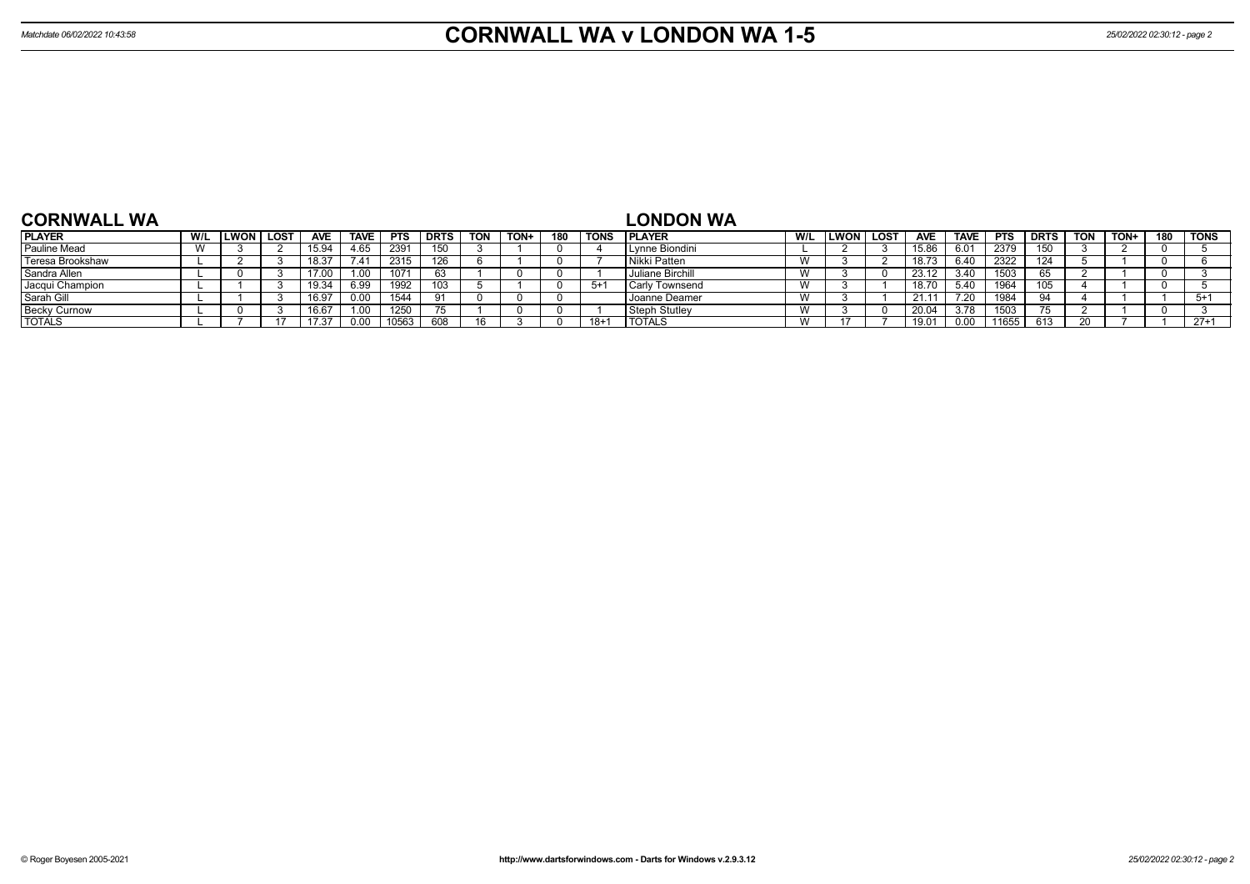| <b>CORNWALL WA</b>  |                                 |              |      |            |             |            |            |            |      |     |          | <b>LONDON WA</b>     |     |             |      |            |             |            |             |            |      |     |             |
|---------------------|---------------------------------|--------------|------|------------|-------------|------------|------------|------------|------|-----|----------|----------------------|-----|-------------|------|------------|-------------|------------|-------------|------------|------|-----|-------------|
| <b>PLAYER</b>       | W/L                             | <b>ILWON</b> | LOST | <b>AVE</b> | <b>TAVE</b> | <b>PTS</b> | DRTS       | <b>TON</b> | TON+ | 180 | TONS     | <b>IPLAYER</b>       | W/L | <b>LWON</b> | LOST | <b>AVE</b> | <b>TAVE</b> | <b>PTS</b> | <b>DRTS</b> | <b>TON</b> | TON+ | 180 | <b>TONS</b> |
| <b>Pauline Mead</b> | $\overline{\phantom{a}}$<br>v v |              |      | 15.94      | 4.65        | 2391       |            |            |      |     |          | Lynne Biondini       |     |             |      | 15.86      | 6.01        | 2379       | 150         |            |      |     |             |
| Teresa Brookshaw    |                                 |              |      | 18.37      | 7.41        | 2315       | 126.       |            |      |     |          | l Nikki Patten       |     |             |      | 18.73      | 6.40        | 2322       | 124         |            |      |     |             |
| Sandra Allen        |                                 |              |      | 17.00      |             | 1071       | -63        |            |      |     |          | Juliane Birchill     |     |             |      | 23.12      | 3.40        | 1503       | 65          |            |      |     |             |
| Jacqui Champion     |                                 |              |      | 19.34      | 6.99        | 1992       |            |            |      |     | 5+       | l Carlv Townsend     |     |             |      | 18.70      | $\Delta$    | 1964       | 105         |            |      |     |             |
| Sarah Gill          |                                 |              |      | 16.97      |             | 1544       | 91         |            |      |     |          | Joanne Deamer        |     |             |      | 21.1       | 20. َ       | 1984       | Q 1         |            |      |     | $5+$        |
| <b>Becky Curnow</b> |                                 |              |      | 16.67      |             | 1250       |            |            |      |     |          | <b>Steph Stutley</b> |     |             |      | 20.04      | 3.78        | 1503       |             |            |      |     |             |
| <b>TOTALS</b>       |                                 |              |      | 17.37      |             | 10563      | <b>RNA</b> |            |      |     | $18 + 7$ | <b>TOTALS</b>        |     |             |      | 19.0       |             | 11655      |             |            |      |     | $27+1$      |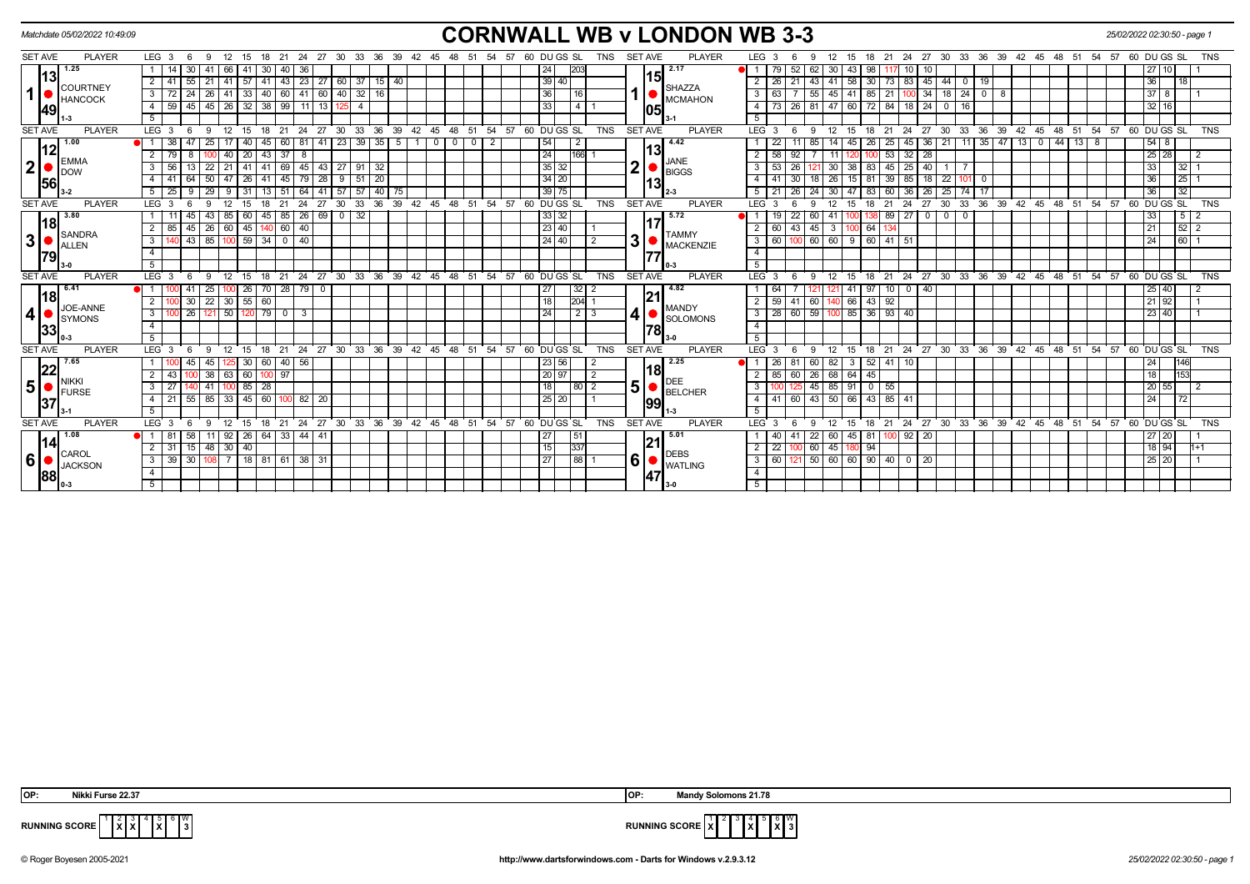| Matchdate 05/02/2022 10:49:09                                                                                                                                                                                                                                                                                                  | <b>CORNWALL WB v LONDON WB 3-3</b>                                                                                                                                                                                                                                                                                                                                                                                                                          | 25/02/2022 02:30:50 - page 1                                                     |
|--------------------------------------------------------------------------------------------------------------------------------------------------------------------------------------------------------------------------------------------------------------------------------------------------------------------------------|-------------------------------------------------------------------------------------------------------------------------------------------------------------------------------------------------------------------------------------------------------------------------------------------------------------------------------------------------------------------------------------------------------------------------------------------------------------|----------------------------------------------------------------------------------|
| <b>SET AVE</b><br><b>PLAYER</b><br>LEG <sub>3</sub><br>21<br>27<br>30<br>33<br>36<br>39<br>- 6<br>-9<br>24                                                                                                                                                                                                                     | PLAYER<br><b>SET AVE</b><br>LEG <sub>3</sub><br>60 DU GS SL<br>TNS<br>- 27<br>30<br>33<br>-36<br>39<br>42<br>45<br>48<br>- 51<br>48<br>-51<br>- 54<br>57<br>-21<br>24<br>18                                                                                                                                                                                                                                                                                 | 60 DU GS SL<br>-54<br>57<br><b>TNS</b>                                           |
| 1.25<br>66<br>40<br>13<br>43   23   27   60   37   15   40<br>$\sqrt{41}$<br>2 <sup>1</sup><br>41<br>21<br>57141<br>-55 I<br><b>COURTNEY</b>                                                                                                                                                                                   | 2.17<br>52<br>43<br>15<br> 39 40<br>30   73   83   45   44  <br>21<br>$41 \quad 58$<br>$\overline{0}$<br>$\overline{2}$<br>l 26<br>43<br>19<br><b>SHAZZA</b>                                                                                                                                                                                                                                                                                                | 27<br>36<br> 18                                                                  |
| $\mathbf{1}$<br>33   40<br>$60$   41   60<br>$40$ 32 16<br>26<br>41<br>3<br><b>HANCOCK</b><br>$32$ 38<br>99<br>45<br>26<br>$11$ 13<br>59<br>45 I<br>$\overline{4}$<br> 49 <br>5                                                                                                                                                | 41<br>$34$   18   24<br>36 <br>$85$   21  <br>$\mathbf{3}$<br>55<br>45<br>100<br>$\overline{0}$<br>- 8<br><b>MCMAHON</b><br>33<br>$\overline{4}$<br>26<br>47 60<br>72 84 18<br>$24$ 0<br>81<br>16<br>4<br>1051<br>5                                                                                                                                                                                                                                         | 37<br>8<br>$32 \mid 16$                                                          |
| <b>SET AVE</b><br><b>PLAYER</b><br>LEG <sub>3</sub><br>$^{\circ}$ 21<br>$24$ 27<br>30<br>- 6<br>- 9<br>12<br>15<br>18                                                                                                                                                                                                          | 33 36 39 42 45 48 51 54 57 60 DUGS SL<br><b>SET AVE</b><br><b>PLAYER</b><br>21 24 27 30 33 36 39 42 45 48 51 54 57 60 DUGS SL<br>TNS<br>$LEG^{\cdot}$ 3<br>-9<br>- 12<br>15<br>18<br>6                                                                                                                                                                                                                                                                      | <b>TNS</b>                                                                       |
| $23 \mid 39 \mid 35 \mid 5$<br>1.00<br>38<br>45<br>60   81   41<br>25<br>40 I<br>12<br>37<br>40<br>$\overline{20}$<br>43<br>8<br><b>EMMA</b><br>$\mathbf{2}$<br>$\overline{3}$<br>56<br>22<br>21<br>69<br>45 43 27 91 32<br>$41$ 41<br><b>I</b> DOW<br>$51$ 20<br>50<br>$145$ 79 28<br>41<br>64<br>47<br>$26$   41<br>9<br>4 I | 4.42<br>26   25   45   36   21   11   35   47   13   0<br>54<br>$44$ 13 8<br>0 <sup>1</sup><br>$^{\circ}$<br>$\overline{2}$<br>$\overline{0}$<br>2<br>85<br>14<br>45<br>24<br>92<br>32<br>28<br>166<br>$\overline{2}$<br>11<br>53<br><b>JANE</b><br>◠<br>$35 \mid 32$<br>26<br>38<br>83   45   25<br>40<br>3<br><b>BIGGS</b><br>$34 \mid 20$<br>30<br>  39   85   18   22  <br>26<br>15 <sup>1</sup><br>101<br>$\overline{4}$<br>18<br>81<br>$\overline{0}$ | $54$ 8<br>25<br>28<br>$\overline{2}$<br>33<br>$32 \mid 1$<br>36<br>$25$ 1        |
| 56 <br>$57$ 57 40 75<br>25<br>29<br>5 <sub>1</sub><br>$31$ 13 51<br>64 41<br>-9<br>-91                                                                                                                                                                                                                                         | $39$ 75<br>83 60 36 26 25 74<br>26<br>24 30 47<br>17                                                                                                                                                                                                                                                                                                                                                                                                        | 36<br>$\overline{32}$                                                            |
| 33<br><b>SET AVE</b><br><b>PLAYER</b><br>30<br>36<br>LEG <sub>3</sub>                                                                                                                                                                                                                                                          | 39 42 45 48 51 54 57 60 DUGS SL<br><b>SET AVE</b><br>27<br>36 39 42 45 48 51 54 57<br>TNS<br>PLAYER<br>LEG 3<br>21<br>24<br>30<br>33                                                                                                                                                                                                                                                                                                                        | 60 DU GS SL<br><b>TNS</b>                                                        |
| 3.80<br>$69$ 0 32<br>45<br>85<br>$\sqrt{26}$<br>60<br>85<br> 18 <br>$\overline{2}$<br>26<br>45 140<br>$60 \mid 40$<br>85<br>45 I<br>60<br>SANDRA<br>3 <br>$43 \mid 85$<br>59 34 0 40<br>3<br>100<br><b>ALLEN</b><br>$\overline{4}$<br> 79 <br>5                                                                                | 33 32<br>5.72<br>$89 \mid 27$<br>$\begin{array}{c c} \hline 0 & 0 \\ \hline \end{array}$<br>22<br>60<br>$\Omega$<br>41<br>23 40<br>$43 \mid 45 \mid$<br>64 I<br>3<br>100<br><b>TAMMY</b><br>3<br>24 40<br>60 60 9 60 41 51<br>3   60<br>MACKENZIE<br>$\overline{4}$<br>177<br>-5                                                                                                                                                                            | $5 \mid 2$<br>33<br>21<br>24<br>$ 60 $ 1                                         |
| <b>SET AVE</b><br><b>LEG</b><br>24<br>$^{\circ}$ 27<br>$30^{\circ}$<br><b>PLAYER</b><br>18<br>21                                                                                                                                                                                                                               | 33 36 39 42 45 48 51 54 57 60 DUGS SL<br>TNS<br>24 27 30 33 36 39 42 45 48 51 54 57 60 DUGS SL<br><b>SET AVE</b><br><b>PLAYER</b><br><b>LEG</b><br>21<br>12<br>15<br>18                                                                                                                                                                                                                                                                                     | <b>TNS</b>                                                                       |
| $26$ 70 $28$ 79 0<br>6.41<br> 18 <br>$22 \mid 30 \mid 55 \mid 60$<br>30 <sup>1</sup><br>$\overline{2}$<br>JOE-ANNE<br>4<br>$26$ 121 50<br>$120$ 79 0<br>3<br>  3<br><b>I</b> symons<br>$\overline{4}$<br> 33 <br>-5                                                                                                            | 4.82<br>$32$   2<br>$10$ 0 40<br>27<br>41<br>97<br>21<br>$\sqrt{204}$ 1<br>140 66 43 92<br><b>18</b><br>$41$ 60 1<br>$2 \mid 59 \mid$<br><b>MANDY</b><br>$\sqrt{2}$<br>$3   28   60   59   100   85   36   93   40$<br>24<br><b>SOLOMONS</b><br>$\overline{4}$<br>-5                                                                                                                                                                                        | 25 40<br>21 92<br>23 40                                                          |
| <b>SET AVE</b><br><b>PLAYER</b><br>$^{\circ}$ 21<br>LEG <sub>3</sub><br>-9<br>12<br>$15 \quad 18$<br>- 6                                                                                                                                                                                                                       | 24 27 30 33 36 39 42 45 48 51 54 57 60 DUGS SL<br>18 21 24 27 30 33 36 39 42 45 48 51 54 57 60 DUGS SL<br>TNS<br><b>SET AVE</b><br><b>PLAYER</b><br>LEG <sup>3</sup><br>12<br>15<br>-9                                                                                                                                                                                                                                                                      | <b>TNS</b>                                                                       |
| 7.65<br>30   60   40   56<br>45<br> 22 <br>60   100   97<br>38<br>$\sqrt{63}$<br>43<br><b>NIKKI</b><br>5 <br>$85$   28<br>3<br>41<br>27<br><b>I</b> FURSE<br>$55 \mid 85 \mid 33$<br>45 60 100<br>82 20<br>21<br>4<br> 37<br>5                                                                                                 | 2.25<br>60 82<br>$3 \mid 52 \mid 41 \mid 10$<br>23 56<br>l 26<br>81<br>-2<br>'18<br>60 26 68 64<br>20 97<br>45<br>$2 \mid 85 \mid$<br>2<br>DEE<br>5<br>45 85 91 0 55<br>18 I<br> 80 2<br>3<br><b>BELCHER</b><br>4   41   60   43   50   66   43   85   41<br>25 20<br>99<br>5                                                                                                                                                                               | 24<br>146<br>18<br>153<br>20<br>$\overline{2}$<br>55 I<br>$\overline{24}$<br> 72 |
| <b>SET AVE</b><br><b>PLAYER</b><br>LEG <sub>3</sub><br>21<br>- 6<br>12<br>15<br>18<br>-9                                                                                                                                                                                                                                       | 24 27 30 33 36 39 42 45 48 51 54 57 60 DUGS SL<br><b>SET AVE</b><br><b>PLAYER</b><br>18 21 24 27 30 33 36 39 42 45 48 51 54 57 60 DUGS SL<br><b>TNS</b><br>LEG <sup>3</sup><br>- 12<br>15<br>-9                                                                                                                                                                                                                                                             | <b>TNS</b>                                                                       |
| 1.08<br>$26$ 64 33 44 41<br>58<br>11<br>92<br>-81<br> 14 <br>$31 \mid 15 \mid 48 \mid 30 \mid 40$<br>CAROL<br>$6 \mid$<br>18 81 61 38 31<br>39 30<br>108 <sup>1</sup><br>$\overline{7}$<br>$\mathbf{3}$<br><b>JACKSON</b><br>$\overline{4}$<br> 88 <br>5                                                                       | 5.01<br>45 81 100 92 20<br>27<br>$\overline{22}$<br>51<br>41<br>60 I<br> 21<br>337<br> 15 <br>60 45<br>94<br>$2 \mid 22$<br>180 I<br>1001<br><b>DEBS</b><br>6<br>27<br> 88 1<br>121 50 60 60 90 40 0 20<br>$3 \mid 60$<br><b>WATLING</b><br>$\overline{4}$<br> 47<br>5                                                                                                                                                                                      | 27 20<br>18 94<br>$1+1$<br>25 20                                                 |
|                                                                                                                                                                                                                                                                                                                                |                                                                                                                                                                                                                                                                                                                                                                                                                                                             |                                                                                  |

| NIKKI FUITSE 22.37 |  |  |
|--------------------|--|--|
|                    |  |  |

 $4 \overline{\times}$  6 W<br>3

 **OP: Nikki Furse 22.37 OP: Mandy Solomons 21.78**



**RUNNING SCORE**  $\begin{bmatrix} 1 & 2 & 3 \\ 1 & X & X \end{bmatrix}$